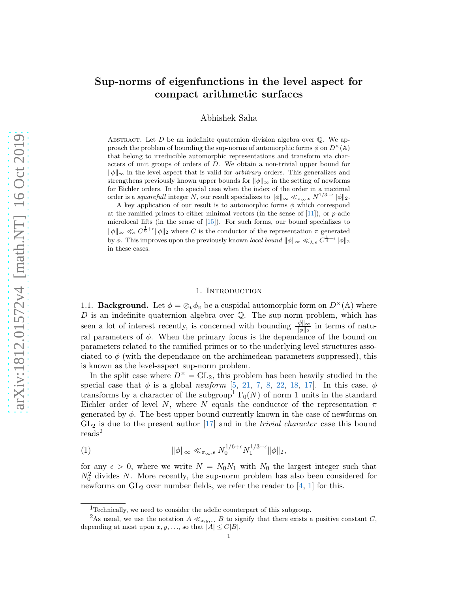# Sup-norms of eigenfunctions in the level aspect for compact arithmetic surfaces

Abhishek Saha

ABSTRACT. Let  $D$  be an indefinite quaternion division algebra over  $\mathbb Q$ . We approach the problem of bounding the sup-norms of automorphic forms  $\phi$  on  $D^{\times}(\mathbb{A})$ that belong to irreducible automorphic representations and transform via characters of unit groups of orders of D. We obtain a non-trivial upper bound for  $\|\phi\|_{\infty}$  in the level aspect that is valid for *arbitrary* orders. This generalizes and strengthens previously known upper bounds for  $\|\phi\|_{\infty}$  in the setting of newforms for Eichler orders. In the special case when the index of the order in a maximal order is a *squarefull* integer N, our result specializes to  $\|\phi\|_{\infty} \ll_{\pi_{\infty}, \epsilon} N^{1/3+\epsilon} \|\phi\|_{2}$ .

A key application of our result is to automorphic forms  $\phi$  which correspond at the ramified primes to either minimal vectors (in the sense of  $[11]$ ), or p-adic microlocal lifts (in the sense of [\[15\]](#page-29-0)). For such forms, our bound specializes to  $\|\phi\|_{\infty} \ll_{\epsilon} C^{\frac{1}{6}+\epsilon} \|\phi\|_{2}$  where C is the conductor of the representation  $\pi$  generated by  $\phi$ . This improves upon the previously known *local bound*  $\|\phi\|_{\infty} \ll_{\lambda,\epsilon} C^{\frac{1}{4}+\epsilon} \|\phi\|_{2}$ in these cases.

#### 1. Introduction

1.1. **Background.** Let  $\phi = \otimes_v \phi_v$  be a cuspidal automorphic form on  $D^{\times}(\mathbb{A})$  where  $D$  is an indefinite quaternion algebra over  $\mathbb{Q}$ . The sup-norm problem, which has seen a lot of interest recently, is concerned with bounding  $\frac{\|\phi\|_{\infty}}{\|\phi\|_{2}}$  in terms of natural parameters of  $\phi$ . When the primary focus is the dependance of the bound on parameters related to the ramified primes or to the underlying level structures associated to  $\phi$  (with the dependance on the archimedean parameters suppressed), this is known as the level-aspect sup-norm problem.

In the split case where  $D^{\times} = GL_2$ , this problem has been heavily studied in the special case that  $\phi$  is a global newform [\[5,](#page-28-1) [21,](#page-29-1) [7,](#page-28-2) [8,](#page-28-3) [22,](#page-29-2) [18,](#page-29-3) [17\]](#page-29-4). In this case,  $\phi$ transforms by a character of the subgroup<sup>1</sup>  $\Gamma_0(N)$  of norm 1 units in the standard Eichler order of level N, where N equals the conductor of the representation  $\pi$ generated by  $\phi$ . The best upper bound currently known in the case of newforms on  $GL_2$  is due to the present author  $[17]$  and in the *trivial character* case this bound reads<sup>2</sup>

<span id="page-0-0"></span>(1) kφk<sup>∞</sup> ≪π∞,ǫ N 1/6+ǫ <sup>0</sup> N 1/3+ǫ 1 kφk2,

for any  $\epsilon > 0$ , where we write  $N = N_0 N_1$  with  $N_0$  the largest integer such that  $N_0^2$  divides N. More recently, the sup-norm problem has also been considered for newforms on  $GL_2$  over number fields, we refer the reader to [\[4,](#page-28-4) [1\]](#page-28-5) for this.

<sup>&</sup>lt;sup>1</sup>Technically, we need to consider the adelic counterpart of this subgroup.

<sup>&</sup>lt;sup>2</sup>As usual, we use the notation  $A \ll x,y,..., B$  to signify that there exists a positive constant C, depending at most upon  $x, y, \ldots$ , so that  $|A| \leq C|B|$ .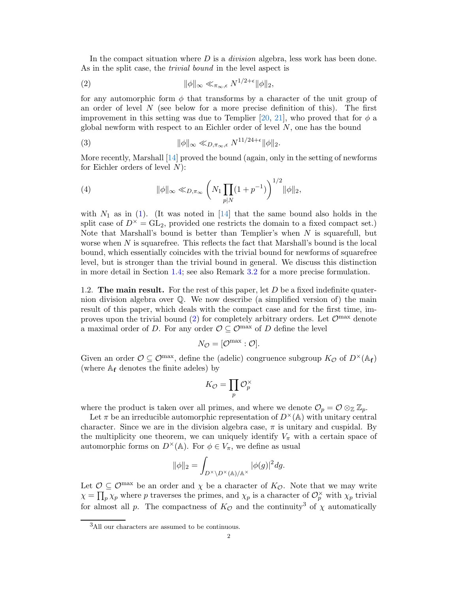In the compact situation where  $D$  is a *division* algebra, less work has been done. As in the split case, the *trivial bound* in the level aspect is

<span id="page-1-0"></span>(2) 
$$
\|\phi\|_{\infty} \ll_{\pi_{\infty},\epsilon} N^{1/2+\epsilon} \|\phi\|_{2},
$$

for any automorphic form  $\phi$  that transforms by a character of the unit group of an order of level  $N$  (see below for a more precise definition of this). The first improvement in this setting was due to Templier [\[20,](#page-29-5) [21\]](#page-29-1), who proved that for  $\phi$  a global newform with respect to an Eichler order of level  $N$ , one has the bound

(3) 
$$
\|\phi\|_{\infty} \ll_{D,\pi_{\infty},\epsilon} N^{11/24+\epsilon} \|\phi\|_{2}.
$$

More recently, Marshall [\[14\]](#page-29-6) proved the bound (again, only in the setting of newforms for Eichler orders of level  $N$ :

(4) 
$$
\|\phi\|_{\infty} \ll_{D,\pi_{\infty}} \left(N_1 \prod_{p|N} (1+p^{-1})\right)^{1/2} \|\phi\|_{2},
$$

with  $N_1$  as in [\(1\)](#page-0-0). (It was noted in [\[14\]](#page-29-6) that the same bound also holds in the split case of  $D^{\times} = GL_2$ , provided one restricts the domain to a fixed compact set.) Note that Marshall's bound is better than Templier's when  $N$  is squarefull, but worse when N is squarefree. This reflects the fact that Marshall's bound is the local bound, which essentially coincides with the trivial bound for newforms of squarefree level, but is stronger than the trivial bound in general. We discuss this distinction in more detail in Section [1.4;](#page-4-0) see also Remark [3.2](#page-18-0) for a more precise formulation.

1.2. The main result. For the rest of this paper, let  $D$  be a fixed indefinite quaternion division algebra over Q. We now describe (a simplified version of) the main result of this paper, which deals with the compact case and for the first time, im-proves upon the trivial bound [\(2\)](#page-1-0) for completely arbitrary orders. Let  $\mathcal{O}^{\max}$  denote a maximal order of D. For any order  $\mathcal{O} \subseteq \mathcal{O}^{\max}$  of D define the level

$$
N_{\mathcal{O}}=[\mathcal{O}^{\max}:\mathcal{O}].
$$

Given an order  $\mathcal{O} \subseteq \mathcal{O}^{\max}$ , define the (adelic) congruence subgroup  $K_{\mathcal{O}}$  of  $D^{\times}(\mathbb{A}_{\mathbf{f}})$ (where  $A_f$  denotes the finite adeles) by

$$
K_{\mathcal{O}}=\prod_{p}\mathcal{O}_{p}^{\times}
$$

where the product is taken over all primes, and where we denote  $\mathcal{O}_p = \mathcal{O} \otimes_{\mathbb{Z}} \mathbb{Z}_p$ .

Let  $\pi$  be an irreducible automorphic representation of  $D^{\times}(\mathbb{A})$  with unitary central character. Since we are in the division algebra case,  $\pi$  is unitary and cuspidal. By the multiplicity one theorem, we can uniquely identify  $V_{\pi}$  with a certain space of automorphic forms on  $D^{\times}(\mathbb{A})$ . For  $\phi \in V_{\pi}$ , we define as usual

$$
\|\phi\|_2 = \int_{D^\times \backslash D^\times(\mathbb{A})/\mathbb{A}^\times} |\phi(g)|^2 dg.
$$

Let  $\mathcal{O} \subseteq \mathcal{O}^{\max}$  be an order and  $\chi$  be a character of  $K_{\mathcal{O}}$ . Note that we may write  $\chi = \prod_p \chi_p$  where p traverses the primes, and  $\chi_p$  is a character of  $\mathcal{O}_p^{\times}$  with  $\chi_p$  trivial for almost all p. The compactness of  $K_{\mathcal{O}}$  and the continuity<sup>3</sup> of  $\chi$  automatically

 ${}^{3}\mathrm{All}$  our characters are assumed to be continuous.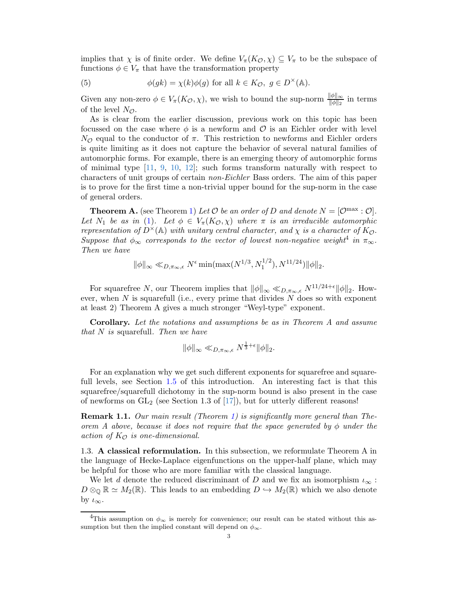implies that  $\chi$  is of finite order. We define  $V_\pi(K_{\mathcal{O}}, \chi) \subseteq V_\pi$  to be the subspace of functions  $\phi \in V_{\pi}$  that have the transformation property

(5) 
$$
\phi(gk) = \chi(k)\phi(g) \text{ for all } k \in K_{\mathcal{O}}, g \in D^{\times}(\mathbb{A}).
$$

Given any non-zero  $\phi \in V_\pi(K_\mathcal{O}, \chi)$ , we wish to bound the sup-norm  $\psi \|_{\phi \|_2}^{\phi}$  in terms of the level  $N_{\mathcal{O}}$ .

As is clear from the earlier discussion, previous work on this topic has been focussed on the case where  $\phi$  is a newform and  $\mathcal O$  is an Eichler order with level  $N_{\mathcal{O}}$  equal to the conductor of π. This restriction to newforms and Eichler orders is quite limiting as it does not capture the behavior of several natural families of automorphic forms. For example, there is an emerging theory of automorphic forms of minimal type [\[11,](#page-28-0) [9,](#page-28-6) [10,](#page-28-7) [12\]](#page-29-7); such forms transform naturally with respect to characters of unit groups of certain non-Eichler Bass orders. The aim of this paper is to prove for the first time a non-trivial upper bound for the sup-norm in the case of general orders.

**Theorem A.** (see Theorem [1\)](#page-18-1) Let  $\mathcal O$  be an order of D and denote  $N = [\mathcal O^{\max} : \mathcal O].$ Let  $N_1$  be as in [\(1\)](#page-0-0). Let  $\phi \in V_\pi(K_{\mathcal{O}}, \chi)$  where  $\pi$  is an irreducible automorphic representation of  $D^{\times}(\mathbb{A})$  with unitary central character, and  $\chi$  is a character of  $K_{\mathcal{O}}$ . Suppose that  $\phi_{\infty}$  corresponds to the vector of lowest non-negative weight<sup>4</sup> in  $\pi_{\infty}$ . Then we have

$$
\|\phi\|_{\infty} \ll_{D,\pi_{\infty},\epsilon} N^{\epsilon} \min(\max(N^{1/3}, N_1^{1/2}), N^{11/24}) \|\phi\|_2.
$$

For squarefree N, our Theorem implies that  $\|\phi\|_{\infty} \ll_{D,\pi_{\infty},\epsilon} N^{11/24+\epsilon} \|\phi\|_{2}$ . However, when  $N$  is squarefull (i.e., every prime that divides  $N$  does so with exponent at least 2) Theorem A gives a much stronger "Weyl-type" exponent.

Corollary. Let the notations and assumptions be as in Theorem A and assume that  $N$  is squarefull. Then we have

$$
\|\phi\|_{\infty} \ll_{D,\pi_{\infty},\epsilon} N^{\frac{1}{3}+\epsilon} \|\phi\|_2.
$$

For an explanation why we get such different exponents for squarefree and squarefull levels, see Section [1.5](#page-6-0) of this introduction. An interesting fact is that this squarefree/squarefull dichotomy in the sup-norm bound is also present in the case of newforms on  $GL_2$  (see Section 1.3 of [\[17\]](#page-29-4)), but for utterly different reasons!

**Remark 1.1.** Our main result (Theorem [1\)](#page-18-1) is significantly more general than Theorem A above, because it does not require that the space generated by  $\phi$  under the action of  $K_{\mathcal{O}}$  is one-dimensional.

1.3. A classical reformulation. In this subsection, we reformulate Theorem A in the language of Hecke-Laplace eigenfunctions on the upper-half plane, which may be helpful for those who are more familiar with the classical language.

We let d denote the reduced discriminant of D and we fix an isomorphism  $\iota_{\infty}$ :  $D \otimes_{\mathbb{Q}} \mathbb{R} \simeq M_2(\mathbb{R})$ . This leads to an embedding  $D \hookrightarrow M_2(\mathbb{R})$  which we also denote by  $\iota_{\infty}$ .

<sup>&</sup>lt;sup>4</sup>This assumption on  $\phi_{\infty}$  is merely for convenience; our result can be stated without this assumption but then the implied constant will depend on  $\phi_{\infty}$ .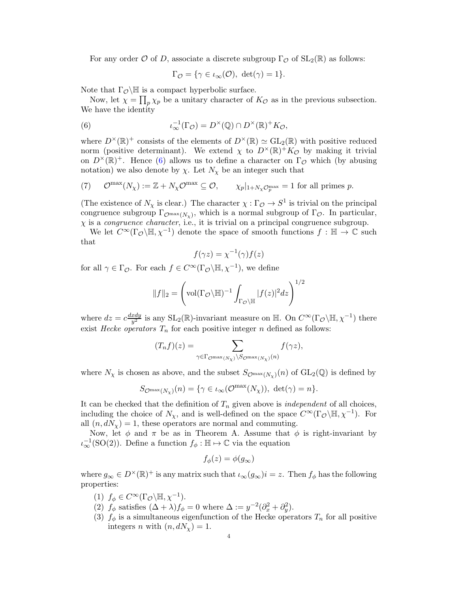For any order O of D, associate a discrete subgroup  $\Gamma_{\mathcal{O}}$  of  $SL_2(\mathbb{R})$  as follows:

<span id="page-3-0"></span>
$$
\Gamma_{\mathcal{O}} = \{ \gamma \in \iota_{\infty}(\mathcal{O}), \ \det(\gamma) = 1 \}.
$$

Note that  $\Gamma_{\mathcal{O}}\backslash\mathbb{H}$  is a compact hyperbolic surface.

Now, let  $\chi = \prod_p \chi_p$  be a unitary character of  $K_{\mathcal{O}}$  as in the previous subsection. We have the identity

(6) 
$$
\iota_{\infty}^{-1}(\Gamma_{\mathcal{O}}) = D^{\times}(\mathbb{Q}) \cap D^{\times}(\mathbb{R})^+ K_{\mathcal{O}},
$$

where  $D^{\times}(\mathbb{R})^+$  consists of the elements of  $D^{\times}(\mathbb{R}) \simeq GL_2(\mathbb{R})$  with positive reduced norm (positive determinant). We extend  $\chi$  to  $D^{\times}(\mathbb{R})^+K_{\mathcal{O}}$  by making it trivial on  $D^{\times}(\mathbb{R})^+$ . Hence [\(6\)](#page-3-0) allows us to define a character on  $\Gamma_{\mathcal{O}}$  which (by abusing notation) we also denote by  $\chi$ . Let  $N_{\chi}$  be an integer such that

<span id="page-3-1"></span>(7) 
$$
\mathcal{O}^{\max}(N_{\chi}) := \mathbb{Z} + N_{\chi}\mathcal{O}^{\max} \subseteq \mathcal{O}, \qquad \chi_p|_{1+N_{\chi}\mathcal{O}_p^{\max}} = 1 \text{ for all primes } p.
$$

(The existence of  $N_\chi$  is clear.) The character  $\chi : \Gamma_\mathcal{O} \to S^1$  is trivial on the principal congruence subgroup  $\Gamma_{\mathcal{O}^{\max}(N_\chi)}$ , which is a normal subgroup of  $\Gamma_{\mathcal{O}}$ . In particular,  $\chi$  is a *congruence character*, i.e., it is trivial on a principal congruence subgroup.

We let  $C^{\infty}(\Gamma_{\mathcal{O}}\backslash\mathbb{H},\chi^{-1})$  denote the space of smooth functions  $f:\mathbb{H}\to\mathbb{C}$  such that

$$
f(\gamma z) = \chi^{-1}(\gamma) f(z)
$$

for all  $\gamma \in \Gamma_{\mathcal{O}}$ . For each  $f \in C^{\infty}(\Gamma_{\mathcal{O}}\backslash \mathbb{H}, \chi^{-1})$ , we define

$$
||f||_2 = \left(\text{vol}(\Gamma_{\mathcal{O}}\backslash \mathbb{H})^{-1} \int_{\Gamma_{\mathcal{O}}\backslash \mathbb{H}} |f(z)|^2 dz\right)^{1/2}
$$

where  $dz = c \frac{dxdy}{dt^2}$  $\frac{xdy}{y^2}$  is any SL<sub>2</sub>( $\mathbb{R}$ )-invariant measure on  $\mathbb{H}$ . On  $C^{\infty}(\Gamma_{\mathcal{O}}\backslash\mathbb{H}, \chi^{-1})$  there exist Hecke operators  $T_n$  for each positive integer n defined as follows:

$$
(T_n f)(z) = \sum_{\gamma \in \Gamma_{\mathcal{O}^{\max}(N_\chi)} \backslash S_{\mathcal{O}^{\max}(N_\chi)}(n)} f(\gamma z),
$$

where  $N_\chi$  is chosen as above, and the subset  $S_{\mathcal{O}^{\max}(N_\chi)}(n)$  of  $\text{GL}_2(\mathbb{Q})$  is defined by

$$
S_{\mathcal{O}^{\max}(N_\chi)}(n) = \{ \gamma \in \iota_\infty(\mathcal{O}^{\max}(N_\chi)), \, \det(\gamma) = n \}.
$$

It can be checked that the definition of  $T_n$  given above is *independent* of all choices, including the choice of  $N_{\chi}$ , and is well-defined on the space  $C^{\infty}(\Gamma_{\mathcal{O}}\backslash\mathbb{H}, \chi^{-1})$ . For all  $(n, dN_\chi) = 1$ , these operators are normal and commuting.

Now, let  $\phi$  and  $\pi$  be as in Theorem A. Assume that  $\phi$  is right-invariant by  $\iota_{\infty}^{-1}(\mathrm{SO}(2))$ . Define a function  $f_{\phi}: \mathbb{H} \mapsto \mathbb{C}$  via the equation

$$
f_{\phi}(z) = \phi(g_{\infty})
$$

where  $g_{\infty} \in D^{\times}(\mathbb{R})^+$  is any matrix such that  $\iota_{\infty}(g_{\infty})i = z$ . Then  $f_{\phi}$  has the following properties:

- (1)  $f_{\phi} \in C^{\infty}(\Gamma_{\mathcal{O}}\backslash \mathbb{H}, \chi^{-1}).$
- (2)  $f_{\phi}$  satisfies  $(\Delta + \lambda)f_{\phi} = 0$  where  $\Delta := y^{-2}(\partial_x^2 + \partial_y^2)$ .
- (3)  $f_{\phi}$  is a simultaneous eigenfunction of the Hecke operators  $T_n$  for all positive integers n with  $(n, dN_\chi) = 1$ .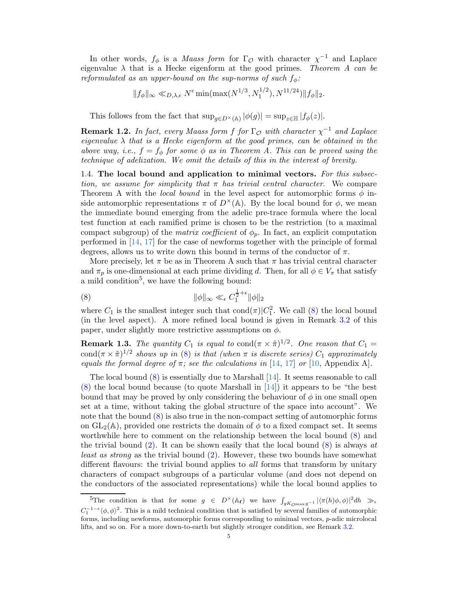In other words,  $f_{\phi}$  is a *Maass form* for  $\Gamma_{\mathcal{O}}$  with character  $\chi^{-1}$  and Laplace eigenvalue  $\lambda$  that is a Hecke eigenform at the good primes. Theorem A can be reformulated as an upper-bound on the sup-norms of such  $f_{\phi}$ :

$$
||f_{\phi}||_{\infty} \ll_{D,\lambda,\epsilon} N^{\epsilon} \min(\max(N^{1/3}, N_1^{1/2}), N^{11/24}) ||f_{\phi}||_2.
$$

This follows from the fact that  $\sup_{g \in D^{\times}(\mathbb{A})} |\phi(g)| = \sup_{z \in \mathbb{H}} |f_{\phi}(z)|$ .

**Remark 1.2.** In fact, every Maass form f for  $\Gamma_{\mathcal{O}}$  with character  $\chi^{-1}$  and Laplace eigenvalue  $\lambda$  that is a Hecke eigenform at the good primes, can be obtained in the above way, i.e.,  $f = f_{\phi}$  for some  $\phi$  as in Theorem A. This can be proved using the technique of adelization. We omit the details of this in the interest of brevity.

<span id="page-4-0"></span>1.4. The local bound and application to minimal vectors. For this subsection, we assume for simplicity that  $\pi$  has trivial central character. We compare Theorem A with the local bound in the level aspect for automorphic forms  $\phi$  inside automorphic representations  $\pi$  of  $D^{\times}(\mathbb{A})$ . By the local bound for  $\phi$ , we mean the immediate bound emerging from the adelic pre-trace formula where the local test function at each ramified prime is chosen to be the restriction (to a maximal compact subgroup) of the *matrix coefficient* of  $\phi_p$ . In fact, an explicit computation performed in [\[14,](#page-29-6) [17\]](#page-29-4) for the case of newforms together with the principle of formal degrees, allows us to write down this bound in terms of the conductor of  $\pi$ .

More precisely, let  $\pi$  be as in Theorem A such that  $\pi$  has trivial central character and  $\pi_p$  is one-dimensional at each prime dividing d. Then, for all  $\phi \in V_\pi$  that satisfy a mild condition<sup>5</sup>, we have the following bound:

<span id="page-4-1"></span>(8) 
$$
\|\phi\|_{\infty} \ll_{\epsilon} C_1^{\frac{1}{2}+\epsilon} \|\phi\|_2
$$

where  $C_1$  is the smallest integer such that  $\text{cond}(\pi)|C_1^2$ . We call [\(8\)](#page-4-1) the local bound (in the level aspect). A more refined local bound is given in Remark [3.2](#page-18-0) of this paper, under slightly more restrictive assumptions on  $\phi$ .

**Remark 1.3.** The quantity  $C_1$  is equal to cond $(\pi \times \tilde{\pi})^{1/2}$ . One reason that  $C_1 =$ cond $(\pi \times \tilde{\pi})^{1/2}$  shows up in [\(8\)](#page-4-1) is that (when  $\pi$  is discrete series)  $C_1$  approximately equals the formal degree of  $\pi$ ; see the calculations in [\[14,](#page-29-6) [17\]](#page-29-4) or [\[10,](#page-28-7) Appendix A].

The local bound  $(8)$  is essentially due to Marshall  $[14]$ . It seems reasonable to call [\(8\)](#page-4-1) the local bound because (to quote Marshall in [\[14\]](#page-29-6)) it appears to be "the best bound that may be proved by only considering the behaviour of  $\phi$  in one small open set at a time, without taking the global structure of the space into account". We note that the bound [\(8\)](#page-4-1) is also true in the non-compact setting of automorphic forms on  $GL_2(\mathbb{A})$ , provided one restricts the domain of  $\phi$  to a fixed compact set. It seems worthwhile here to comment on the relationship between the local bound [\(8\)](#page-4-1) and the trivial bound [\(2\)](#page-1-0). It can be shown easily that the local bound [\(8\)](#page-4-1) is always at least as strong as the trivial bound [\(2\)](#page-1-0). However, these two bounds have somewhat different flavours: the trivial bound applies to *all* forms that transform by unitary characters of compact subgroups of a particular volume (and does not depend on the conductors of the associated representations) while the local bound applies to

<sup>&</sup>lt;sup>5</sup>The condition is that for some  $g \in D^{\times}(\mathbb{A}_{f})$  we have  $\int_{gK_{\mathcal{O}max}} g^{-1} |\langle \pi(h)\phi, \phi \rangle|^{2} dh \gg_{\epsilon}$  $C_1^{-1-\epsilon}\langle\phi,\phi\rangle^2$ . This is a mild technical condition that is satisfied by several families of automorphic forms, including newforms, automorphic forms corresponding to minimal vectors, p-adic microlocal lifts, and so on. For a more down-to-earth but slightly stronger condition, see Remark [3.2.](#page-18-0)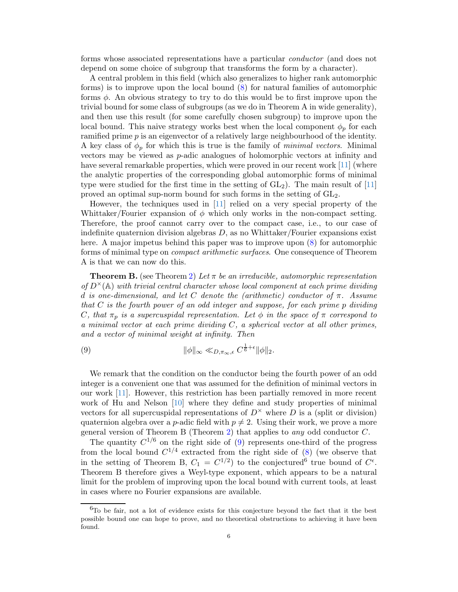forms whose associated representations have a particular conductor (and does not depend on some choice of subgroup that transforms the form by a character).

A central problem in this field (which also generalizes to higher rank automorphic forms) is to improve upon the local bound [\(8\)](#page-4-1) for natural families of automorphic forms  $\phi$ . An obvious strategy to try to do this would be to first improve upon the trivial bound for some class of subgroups (as we do in Theorem A in wide generality), and then use this result (for some carefully chosen subgroup) to improve upon the local bound. This naive strategy works best when the local component  $\phi_p$  for each ramified prime  $p$  is an eigenvector of a relatively large neighbourhood of the identity. A key class of  $\phi_p$  for which this is true is the family of *minimal vectors*. Minimal vectors may be viewed as p-adic analogues of holomorphic vectors at infinity and have several remarkable properties, which were proved in our recent work [\[11\]](#page-28-0) (where the analytic properties of the corresponding global automorphic forms of minimal type were studied for the first time in the setting of  $GL_2$ ). The main result of [\[11\]](#page-28-0) proved an optimal sup-norm bound for such forms in the setting of  $GL_2$ .

However, the techniques used in [\[11\]](#page-28-0) relied on a very special property of the Whittaker/Fourier expansion of  $\phi$  which only works in the non-compact setting. Therefore, the proof cannot carry over to the compact case, i.e., to our case of indefinite quaternion division algebras  $D$ , as no Whittaker/Fourier expansions exist here. A major impetus behind this paper was to improve upon [\(8\)](#page-4-1) for automorphic forms of minimal type on compact arithmetic surfaces. One consequence of Theorem A is that we can now do this.

**Theorem B.** (see Theorem [2\)](#page-20-0) Let  $\pi$  be an irreducible, automorphic representation of  $D^{\times}(\mathbb{A})$  with trivial central character whose local component at each prime dividing d is one-dimensional, and let C denote the (arithmetic) conductor of  $\pi$ . Assume that C is the fourth power of an odd integer and suppose, for each prime p dividing C, that  $\pi_p$  is a supercuspidal representation. Let  $\phi$  in the space of  $\pi$  correspond to a minimal vector at each prime dividing  $C$ , a spherical vector at all other primes, and a vector of minimal weight at infinity. Then

<span id="page-5-0"></span>(9) 
$$
\|\phi\|_{\infty} \ll_{D,\pi_{\infty},\epsilon} C^{\frac{1}{6}+\epsilon} \|\phi\|_{2}.
$$

We remark that the condition on the conductor being the fourth power of an odd integer is a convenient one that was assumed for the definition of minimal vectors in our work [\[11\]](#page-28-0). However, this restriction has been partially removed in more recent work of Hu and Nelson [\[10\]](#page-28-7) where they define and study properties of minimal vectors for all supercuspidal representations of  $D^{\times}$  where D is a (split or division) quaternion algebra over a p-adic field with  $p \neq 2$ . Using their work, we prove a more general version of Theorem B (Theorem [2\)](#page-20-0) that applies to any odd conductor C.

The quantity  $C^{1/6}$  on the right side of [\(9\)](#page-5-0) represents one-third of the progress from the local bound  $C^{1/4}$  extracted from the right side of [\(8\)](#page-4-1) (we observe that in the setting of Theorem B,  $C_1 = C^{1/2}$  to the conjectured<sup>6</sup> true bound of  $C^{\epsilon}$ . Theorem B therefore gives a Weyl-type exponent, which appears to be a natural limit for the problem of improving upon the local bound with current tools, at least in cases where no Fourier expansions are available.

 ${}^{6}$ To be fair, not a lot of evidence exists for this conjecture beyond the fact that it the best possible bound one can hope to prove, and no theoretical obstructions to achieving it have been found.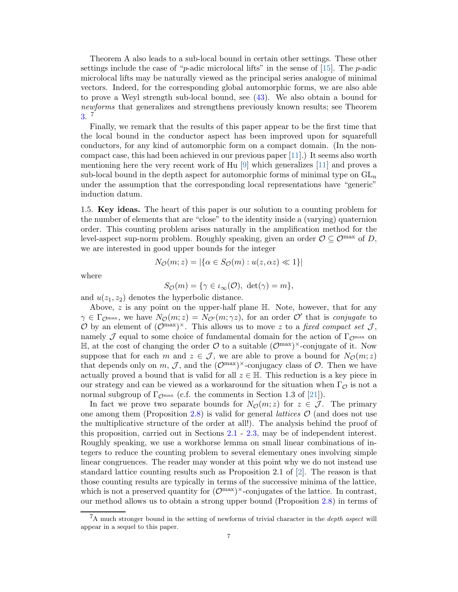Theorem A also leads to a sub-local bound in certain other settings. These other settings include the case of "p-adic microlocal lifts" in the sense of  $[15]$ . The p-adic microlocal lifts may be naturally viewed as the principal series analogue of minimal vectors. Indeed, for the corresponding global automorphic forms, we are also able to prove a Weyl strength sub-local bound, see [\(43\)](#page-21-0). We also obtain a bound for newforms that generalizes and strengthens previously known results; see Theorem [3.](#page-21-1) 7

Finally, we remark that the results of this paper appear to be the first time that the local bound in the conductor aspect has been improved upon for squarefull conductors, for any kind of automorphic form on a compact domain. (In the noncompact case, this had been achieved in our previous paper [\[11\]](#page-28-0).) It seems also worth mentioning here the very recent work of Hu [\[9\]](#page-28-6) which generalizes [\[11\]](#page-28-0) and proves a sub-local bound in the depth aspect for automorphic forms of minimal type on  $GL_n$ under the assumption that the corresponding local representations have "generic" induction datum.

<span id="page-6-0"></span>1.5. Key ideas. The heart of this paper is our solution to a counting problem for the number of elements that are "close" to the identity inside a (varying) quaternion order. This counting problem arises naturally in the amplification method for the level-aspect sup-norm problem. Roughly speaking, given an order  $\mathcal{O} \subseteq \mathcal{O}^{\max}$  of D, we are interested in good upper bounds for the integer

$$
N_{\mathcal{O}}(m; z) = |\{\alpha \in S_{\mathcal{O}}(m) : u(z, \alpha z) \ll 1\}|
$$

where

$$
S_{\mathcal{O}}(m) = \{ \gamma \in \iota_{\infty}(\mathcal{O}), \ \det(\gamma) = m \},\
$$

and  $u(z_1, z_2)$  denotes the hyperbolic distance.

Above,  $z$  is any point on the upper-half plane  $\mathbb H$ . Note, however, that for any  $\gamma \in \Gamma_{\mathcal{O}^{\max}}$ , we have  $N_{\mathcal{O}}(m;z) = N_{\mathcal{O}'}(m;\gamma z)$ , for an order  $\mathcal{O}'$  that is *conjugate* to O by an element of  $(\mathcal{O}^{max})^{\times}$ . This allows us to move z to a fixed compact set J, namely J equal to some choice of fundamental domain for the action of  $\Gamma_{\mathcal{O}^{\text{max}}}$  on  $\mathbb{H}$ , at the cost of changing the order  $\mathcal{O}$  to a suitable  $(\mathcal{O}^{max})^{\times}$ -conjugate of it. Now suppose that for each m and  $z \in \mathcal{J}$ , we are able to prove a bound for  $N_{\mathcal{O}}(m; z)$ that depends only on  $m, \mathcal{J}$ , and the  $(\mathcal{O}^{max})^{\times}$ -conjugacy class of  $\mathcal{O}$ . Then we have actually proved a bound that is valid for all  $z \in \mathbb{H}$ . This reduction is a key piece in our strategy and can be viewed as a workaround for the situation when  $\Gamma_{\mathcal{O}}$  is not a normal subgroup of  $\Gamma_{\mathcal{O}^{max}}$  (c.f. the comments in Section 1.3 of [\[21\]](#page-29-1)).

In fact we prove two separate bounds for  $N_{\mathcal{O}}(m; z)$  for  $z \in \mathcal{J}$ . The primary one among them (Proposition [2.8\)](#page-11-0) is valid for general *lattices*  $\mathcal{O}$  (and does not use the multiplicative structure of the order at all!). The analysis behind the proof of this proposition, carried out in Sections [2.1](#page-8-0) - [2.3,](#page-12-0) may be of independent interest. Roughly speaking, we use a workhorse lemma on small linear combinations of integers to reduce the counting problem to several elementary ones involving simple linear congruences. The reader may wonder at this point why we do not instead use standard lattice counting results such as Proposition 2.1 of [\[2\]](#page-28-8). The reason is that those counting results are typically in terms of the successive minima of the lattice, which is not a preserved quantity for  $(\mathcal{O}^{max})^{\times}$ -conjugates of the lattice. In contrast, our method allows us to obtain a strong upper bound (Proposition [2.8\)](#page-11-0) in terms of

<sup>7</sup>A much stronger bound in the setting of newforms of trivial character in the *depth aspect* will appear in a sequel to this paper.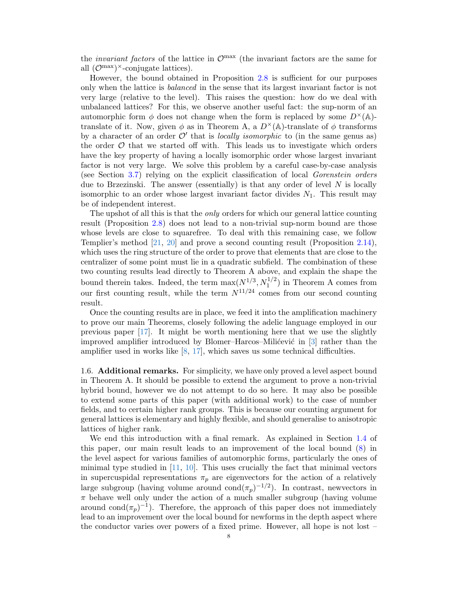the *invariant factors* of the lattice in  $\mathcal{O}^{\text{max}}$  (the invariant factors are the same for all  $(\mathcal{O}^{max})^{\times}$ -conjugate lattices).

However, the bound obtained in Proposition [2.8](#page-11-0) is sufficient for our purposes only when the lattice is *balanced* in the sense that its largest invariant factor is not very large (relative to the level). This raises the question: how do we deal with unbalanced lattices? For this, we observe another useful fact: the sup-norm of an automorphic form  $\phi$  does not change when the form is replaced by some  $D^{\times}(\mathbb{A})$ translate of it. Now, given  $\phi$  as in Theorem A, a  $D^{\times}(\mathbb{A})$ -translate of  $\phi$  transforms by a character of an order  $\mathcal{O}'$  that is *locally isomorphic* to (in the same genus as) the order  $\mathcal O$  that we started off with. This leads us to investigate which orders have the key property of having a locally isomorphic order whose largest invariant factor is not very large. We solve this problem by a careful case-by-case analysis (see Section [3.7\)](#page-23-0) relying on the explicit classification of local Gorenstein orders due to Brzezinski. The answer (essentially) is that any order of level  $N$  is locally isomorphic to an order whose largest invariant factor divides  $N_1$ . This result may be of independent interest.

The upshot of all this is that the *only* orders for which our general lattice counting result (Proposition [2.8\)](#page-11-0) does not lead to a non-trivial sup-norm bound are those whose levels are close to squarefree. To deal with this remaining case, we follow Templier's method [\[21,](#page-29-1) [20\]](#page-29-5) and prove a second counting result (Proposition [2.14\)](#page-15-0), which uses the ring structure of the order to prove that elements that are close to the centralizer of some point must lie in a quadratic subfield. The combination of these two counting results lead directly to Theorem A above, and explain the shape the bound therein takes. Indeed, the term  $\max(N^{1/3}, N_1^{1/2})$  in Theorem A comes from our first counting result, while the term  $N^{11/24}$  comes from our second counting result.

Once the counting results are in place, we feed it into the amplification machinery to prove our main Theorems, closely following the adelic language employed in our previous paper [\[17\]](#page-29-4). It might be worth mentioning here that we use the slightly improved amplifier introduced by Blomer–Harcos–Milićević in  $\lceil 3 \rceil$  rather than the amplifier used in works like  $[8, 17]$  $[8, 17]$ , which saves us some technical difficulties.

1.6. Additional remarks. For simplicity, we have only proved a level aspect bound in Theorem A. It should be possible to extend the argument to prove a non-trivial hybrid bound, however we do not attempt to do so here. It may also be possible to extend some parts of this paper (with additional work) to the case of number fields, and to certain higher rank groups. This is because our counting argument for general lattices is elementary and highly flexible, and should generalise to anisotropic lattices of higher rank.

We end this introduction with a final remark. As explained in Section [1.4](#page-4-0) of this paper, our main result leads to an improvement of the local bound [\(8\)](#page-4-1) in the level aspect for various families of automorphic forms, particularly the ones of minimal type studied in [\[11,](#page-28-0) [10\]](#page-28-7). This uses crucially the fact that minimal vectors in supercuspidal representations  $\pi_p$  are eigenvectors for the action of a relatively large subgroup (having volume around  $\text{cond}(\pi_p)^{-1/2}$ ). In contrast, newvectors in  $\pi$  behave well only under the action of a much smaller subgroup (having volume around cond $(\pi_p)^{-1}$ ). Therefore, the approach of this paper does not immediately lead to an improvement over the local bound for newforms in the depth aspect where the conductor varies over powers of a fixed prime. However, all hope is not lost –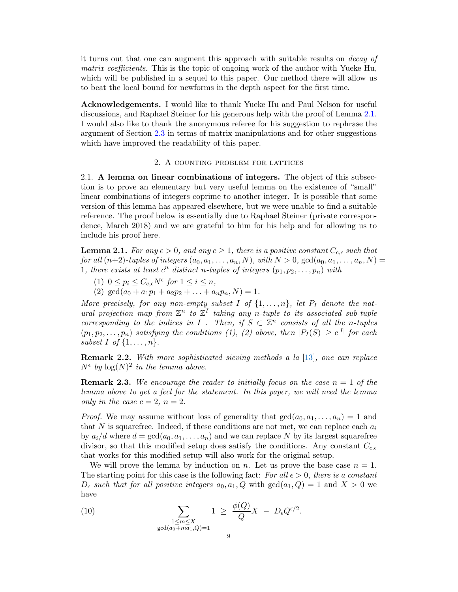it turns out that one can augment this approach with suitable results on decay of matrix coefficients. This is the topic of ongoing work of the author with Yueke Hu, which will be published in a sequel to this paper. Our method there will allow us to beat the local bound for newforms in the depth aspect for the first time.

Acknowledgements. I would like to thank Yueke Hu and Paul Nelson for useful discussions, and Raphael Steiner for his generous help with the proof of Lemma [2.1.](#page-8-1) I would also like to thank the anonymous referee for his suggestion to rephrase the argument of Section [2.3](#page-12-0) in terms of matrix manipulations and for other suggestions which have improved the readability of this paper.

### 2. A counting problem for lattices

<span id="page-8-3"></span><span id="page-8-0"></span>2.1. A lemma on linear combinations of integers. The object of this subsection is to prove an elementary but very useful lemma on the existence of "small" linear combinations of integers coprime to another integer. It is possible that some version of this lemma has appeared elsewhere, but we were unable to find a suitable reference. The proof below is essentially due to Raphael Steiner (private correspondence, March 2018) and we are grateful to him for his help and for allowing us to include his proof here.

<span id="page-8-1"></span>**Lemma 2.1.** For any  $\epsilon > 0$ , and any  $c \geq 1$ , there is a positive constant  $C_{c,\epsilon}$  such that for all  $(n+2)$ -tuples of integers  $(a_0, a_1, \ldots, a_n, N)$ , with  $N > 0$ ,  $gcd(a_0, a_1, \ldots, a_n, N)$ 1, there exists at least  $c^n$  distinct n-tuples of integers  $(p_1, p_2, \ldots, p_n)$  with

- (1)  $0 \leq p_i \leq C_{c,\epsilon} N^{\epsilon}$  for  $1 \leq i \leq n$ ,
- (2)  $\gcd(a_0 + a_1p_1 + a_2p_2 + \ldots + a_np_n, N) = 1.$

More precisely, for any non-empty subset I of  $\{1,\ldots,n\}$ , let  $P_I$  denote the natural projection map from  $\mathbb{Z}^n$  to  $\mathbb{Z}^I$  taking any n-tuple to its associated sub-tuple corresponding to the indices in I. Then, if  $S \subset \mathbb{Z}^n$  consists of all the n-tuples  $(p_1, p_2, \ldots, p_n)$  satisfying the conditions (1), (2) above, then  $|P_I(S)| \ge c^{|I|}$  for each subset I of  $\{1,\ldots,n\}$ .

**Remark 2.2.** With more sophisticated sieving methods a la [\[13\]](#page-29-8), one can replace  $N^{\epsilon}$  by  $\log(N)^2$  in the lemma above.

**Remark 2.3.** We encourage the reader to initially focus on the case  $n = 1$  of the lemma above to get a feel for the statement. In this paper, we will need the lemma only in the case  $c = 2$ ,  $n = 2$ .

*Proof.* We may assume without loss of generality that  $gcd(a_0, a_1, \ldots, a_n) = 1$  and that N is squarefree. Indeed, if these conditions are not met, we can replace each  $a_i$ by  $a_i/d$  where  $d = \gcd(a_0, a_1, \ldots, a_n)$  and we can replace N by its largest squarefree divisor, so that this modified setup does satisfy the conditions. Any constant  $C_{c,\epsilon}$ that works for this modified setup will also work for the original setup.

We will prove the lemma by induction on n. Let us prove the base case  $n = 1$ . The starting point for this case is the following fact: For all  $\epsilon > 0$ , there is a constant  $D_{\epsilon}$  such that for all positive integers  $a_0, a_1, Q$  with  $gcd(a_1, Q) = 1$  and  $X > 0$  we have

<span id="page-8-2"></span>(10) 
$$
\sum_{\substack{1 \le m \le X \\ \gcd(a_0 + ma_1, Q) = 1}} 1 \ge \frac{\phi(Q)}{Q} X - D_{\epsilon} Q^{\epsilon/2}.
$$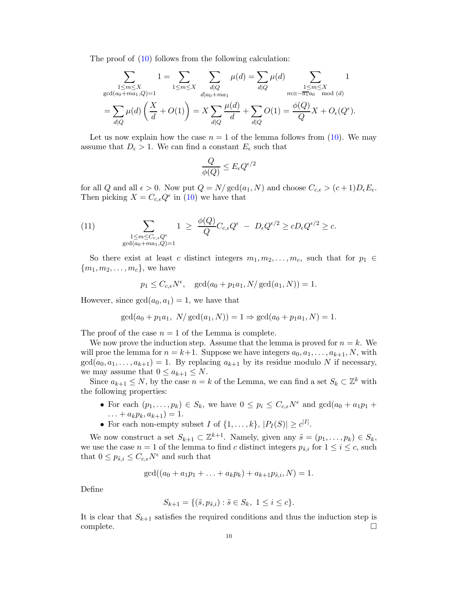The proof of  $(10)$  follows from the following calculation:

$$
\sum_{\substack{1 \le m \le X \\ \gcd(a_0 + ma_1, Q) = 1}} 1 = \sum_{1 \le m \le X} \sum_{\substack{d|Q \\ d|a_0 + ma_1}} \mu(d) = \sum_{d|Q} \mu(d) \sum_{\substack{1 \le m \le X \\ m \equiv -\overline{a_1}a_0 \mod (d) \\ \text{mod } (d)}} 1
$$
\n
$$
= \sum_{d|Q} \mu(d) \left(\frac{X}{d} + O(1)\right) = X \sum_{d|Q} \frac{\mu(d)}{d} + \sum_{d|Q} O(1) = \frac{\phi(Q)}{Q} X + O_{\epsilon}(Q^{\epsilon}).
$$

Let us now explain how the case  $n = 1$  of the lemma follows from [\(10\)](#page-8-2). We may assume that  $D_{\epsilon} > 1$ . We can find a constant  $E_{\epsilon}$  such that

$$
\frac{Q}{\phi(Q)} \leq E_\epsilon Q^{\epsilon/2}
$$

for all Q and all  $\epsilon > 0$ . Now put  $Q = N/\text{gcd}(a_1, N)$  and choose  $C_{c,\epsilon} > (c+1)D_{\epsilon}E_{\epsilon}$ . Then picking  $X = C_{c,\epsilon} Q^{\epsilon}$  in [\(10\)](#page-8-2) we have that

(11) 
$$
\sum_{\substack{1 \leq m \leq C_{c,\epsilon}Q^{\epsilon} \\ \gcd(a_0 + ma_1, Q) = 1}} 1 \geq \frac{\phi(Q)}{Q} C_{c,\epsilon} Q^{\epsilon} - D_{\epsilon} Q^{\epsilon/2} \geq c D_{\epsilon} Q^{\epsilon/2} \geq c.
$$

So there exist at least c distinct integers  $m_1, m_2, \ldots, m_c$ , such that for  $p_1 \in$  ${m_1, m_2, \ldots, m_c}$ , we have

$$
p_1 \leq C_{c,\epsilon} N^{\epsilon}
$$
,  $gcd(a_0 + p_1 a_1, N/gcd(a_1, N)) = 1$ .

However, since  $gcd(a_0, a_1) = 1$ , we have that

$$
\gcd(a_0 + p_1 a_1, N/\gcd(a_1, N)) = 1 \Rightarrow \gcd(a_0 + p_1 a_1, N) = 1.
$$

The proof of the case  $n = 1$  of the Lemma is complete.

We now prove the induction step. Assume that the lemma is proved for  $n = k$ . We will proe the lemma for  $n = k+1$ . Suppose we have integers  $a_0, a_1, \ldots, a_{k+1}, N$ , with  $gcd(a_0, a_1, \ldots, a_{k+1}) = 1$ . By replacing  $a_{k+1}$  by its residue modulo N if necessary, we may assume that  $0 \le a_{k+1} \le N$ .

Since  $a_{k+1} \leq N$ , by the case  $n = k$  of the Lemma, we can find a set  $S_k \subset \mathbb{Z}^k$  with the following properties:

- For each  $(p_1, \ldots, p_k) \in S_k$ , we have  $0 \leq p_i \leq C_{c,\epsilon} N^{\epsilon}$  and  $gcd(a_0 + a_1 p_1 + \epsilon)$  $\ldots + a_k p_k, a_{k+1} = 1.$
- For each non-empty subset I of  $\{1, \ldots, k\}, |P_I(S)| \ge c^{|I|}$ .

We now construct a set  $S_{k+1} \subset \mathbb{Z}^{k+1}$ . Namely, given any  $\tilde{s} = (p_1, \ldots, p_k) \in S_k$ , we use the case  $n = 1$  of the lemma to find c distinct integers  $p_{\tilde{s},i}$  for  $1 \leq i \leq c$ , such that  $0 \leq p_{\tilde{s},i} \leq C_{c,\epsilon} N^{\epsilon}$  and such that

$$
\gcd((a_0 + a_1p_1 + \ldots + a_kp_k) + a_{k+1}p_{\tilde{s},i}, N) = 1.
$$

Define

$$
S_{k+1} = \{ (\tilde{s}, p_{\tilde{s},i}) : \tilde{s} \in S_k, \ 1 \le i \le c \}.
$$

It is clear that  $S_{k+1}$  satisfies the required conditions and thus the induction step is complete. □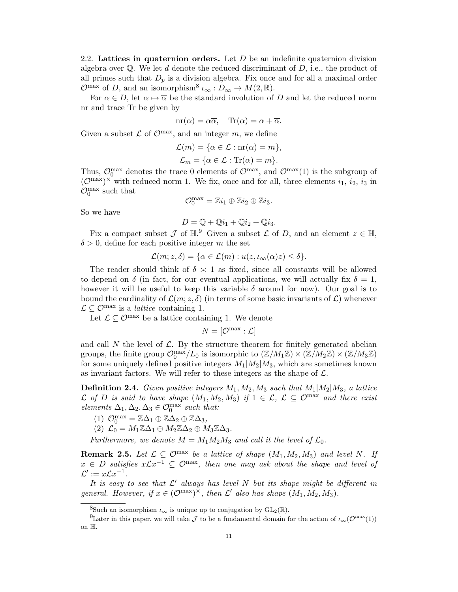<span id="page-10-0"></span>2.2. Lattices in quaternion orders. Let D be an indefinite quaternion division algebra over  $\mathbb{Q}$ . We let d denote the reduced discriminant of D, i.e., the product of all primes such that  $D_p$  is a division algebra. Fix once and for all a maximal order  $\mathcal{O}^{\max}$  of D, and an isomorphism<sup>8</sup>  $\iota_{\infty}: D_{\infty} \to M(2, \mathbb{R})$ .

For  $\alpha \in D$ , let  $\alpha \mapsto \overline{\alpha}$  be the standard involution of D and let the reduced norm nr and trace Tr be given by

$$
nr(\alpha) = \alpha \overline{\alpha}, \quad Tr(\alpha) = \alpha + \overline{\alpha}.
$$

Given a subset  $\mathcal L$  of  $\mathcal O^{max}$ , and an integer m, we define

$$
\mathcal{L}(m) = \{ \alpha \in \mathcal{L} : \text{nr}(\alpha) = m \},
$$
  

$$
\mathcal{L}_m = \{ \alpha \in \mathcal{L} : \text{Tr}(\alpha) = m \}.
$$

Thus,  $\mathcal{O}_0^{\max}$  denotes the trace 0 elements of  $\mathcal{O}^{\max}$ , and  $\mathcal{O}^{\max}(1)$  is the subgroup of  $(\mathcal{O}^{\max})^{\times}$  with reduced norm 1. We fix, once and for all, three elements  $i_1$ ,  $i_2$ ,  $i_3$  in  $\mathcal{O}_0^{\text{max}}$  such that

$$
\mathcal{O}_0^{\max} = \mathbb{Z}i_1 \oplus \mathbb{Z}i_2 \oplus \mathbb{Z}i_3.
$$

So we have

$$
D = \mathbb{Q} + \mathbb{Q}i_1 + \mathbb{Q}i_2 + \mathbb{Q}i_3.
$$

Fix a compact subset  $\mathcal J$  of  $\mathbb{H}$ .<sup>9</sup> Given a subset  $\mathcal L$  of D, and an element  $z \in \mathbb{H}$ ,  $\delta > 0$ , define for each positive integer m the set

$$
\mathcal{L}(m; z, \delta) = \{ \alpha \in \mathcal{L}(m) : u(z, \iota_{\infty}(\alpha)z) \leq \delta \}.
$$

The reader should think of  $\delta \geq 1$  as fixed, since all constants will be allowed to depend on  $\delta$  (in fact, for our eventual applications, we will actually fix  $\delta = 1$ , however it will be useful to keep this variable  $\delta$  around for now). Our goal is to bound the cardinality of  $\mathcal{L}(m; z, \delta)$  (in terms of some basic invariants of  $\mathcal{L}$ ) whenever  $\mathcal{L} \subseteq \mathcal{O}^{\max}$  is a *lattice* containing 1.

Let  $\mathcal{L} \subset \mathcal{O}^{\max}$  be a lattice containing 1. We denote

$$
N=[\mathcal{O}^{\max}:\mathcal{L}]
$$

and call N the level of  $\mathcal{L}$ . By the structure theorem for finitely generated abelian groups, the finite group  $\mathcal{O}_0^{\max}/L_0$  is isomorphic to  $(\mathbb{Z}/M_1\mathbb{Z}) \times (\mathbb{Z}/M_2\mathbb{Z}) \times (\mathbb{Z}/M_3\mathbb{Z})$ for some uniquely defined positive integers  $M_1|M_2|M_3$ , which are sometimes known as invariant factors. We will refer to these integers as the shape of  $\mathcal{L}$ .

**Definition 2.4.** Given positive integers  $M_1, M_2, M_3$  such that  $M_1|M_2|M_3$ , a lattice  $\mathcal L$  of D is said to have shape  $(M_1, M_2, M_3)$  if  $1 \in \mathcal L$ ,  $\mathcal L \subseteq \mathcal O^{\max}$  and there exist elements  $\Delta_1, \Delta_2, \Delta_3 \in \mathcal{O}_0^{\max}$  such that:

- (1)  $\mathcal{O}_0^{\max} = \mathbb{Z}\Delta_1 \oplus \mathbb{Z}\Delta_2 \oplus \mathbb{Z}\Delta_3$ ,
- (2)  $\mathcal{L}_0 = M_1 \mathbb{Z} \Delta_1 \oplus M_2 \mathbb{Z} \Delta_2 \oplus M_3 \mathbb{Z} \Delta_3.$

Furthermore, we denote  $M = M_1 M_2 M_3$  and call it the level of  $\mathcal{L}_0$ .

**Remark 2.5.** Let  $\mathcal{L} \subseteq \mathcal{O}^{\text{max}}$  be a lattice of shape  $(M_1, M_2, M_3)$  and level N. If  $x \in D$  satisfies  $x \mathcal{L} x^{-1} \subseteq \mathcal{O}^{\max}$ , then one may ask about the shape and level of  $\mathcal{L}' := x \mathcal{L} x^{-1}.$ 

It is easy to see that  $\mathcal{L}'$  always has level N but its shape might be different in general. However, if  $x \in (\mathcal{O}^{\max})^{\times}$ , then  $\mathcal{L}'$  also has shape  $(M_1, M_2, M_3)$ .

<sup>&</sup>lt;sup>8</sup>Such an isomorphism  $\iota_{\infty}$  is unique up to conjugation by  $GL_2(\mathbb{R})$ .

<sup>&</sup>lt;sup>9</sup>Later in this paper, we will take  $\mathcal J$  to be a fundamental domain for the action of  $\iota_{\infty}(\mathcal O^{\max}(1))$ on H.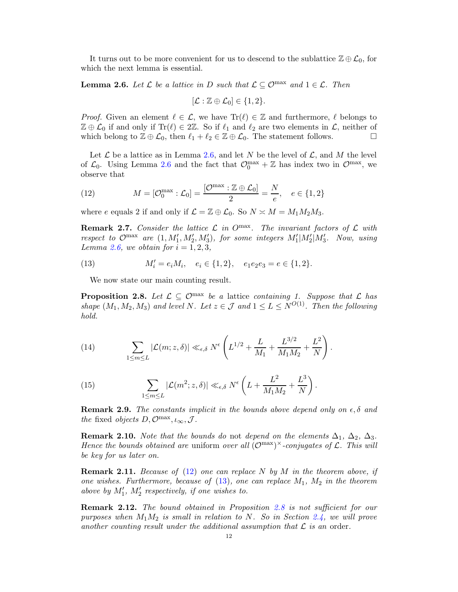It turns out to be more convenient for us to descend to the sublattice  $\mathbb{Z} \oplus \mathcal{L}_0$ , for which the next lemma is essential.

<span id="page-11-1"></span>**Lemma 2.6.** Let  $\mathcal{L}$  be a lattice in D such that  $\mathcal{L} \subseteq \mathcal{O}^{\max}$  and  $1 \in \mathcal{L}$ . Then

$$
[\mathcal{L}:\mathbb{Z}\oplus\mathcal{L}_0]\in\{1,2\}.
$$

*Proof.* Given an element  $\ell \in \mathcal{L}$ , we have  $\text{Tr}(\ell) \in \mathbb{Z}$  and furthermore,  $\ell$  belongs to  $\mathbb{Z} \oplus \mathcal{L}_0$  if and only if  $\text{Tr}(\ell) \in 2\mathbb{Z}$ . So if  $\ell_1$  and  $\ell_2$  are two elements in  $\mathcal{L}$ , neither of which belong to  $\mathbb{Z} \oplus \mathcal{L}_0$ , then  $\ell_1 + \ell_2 \in \mathbb{Z} \oplus \mathcal{L}_0$ . The statement follows. which belong to  $\mathbb{Z} \oplus \mathcal{L}_0$ , then  $\ell_1 + \ell_2 \in \mathbb{Z} \oplus \mathcal{L}_0$ . The statement follows.

Let  $\mathcal L$  be a lattice as in Lemma [2.6,](#page-11-1) and let N be the level of  $\mathcal L$ , and M the level of  $\mathcal{L}_0$ . Using Lemma [2.6](#page-11-1) and the fact that  $\mathcal{O}_0^{\max} + \mathbb{Z}$  has index two in  $\mathcal{O}^{\max}$ , we observe that

<span id="page-11-2"></span>(12) 
$$
M = [\mathcal{O}_0^{\max} : \mathcal{L}_0] = \frac{[\mathcal{O}^{\max} : \mathbb{Z} \oplus \mathcal{L}_0]}{2} = \frac{N}{e}, \quad e \in \{1, 2\}
$$

where e equals 2 if and only if  $\mathcal{L} = \mathbb{Z} \oplus \mathcal{L}_0$ . So  $N \approx M = M_1 M_2 M_3$ .

<span id="page-11-4"></span>**Remark 2.7.** Consider the lattice  $\mathcal{L}$  in O<sup>max</sup>. The invariant factors of  $\mathcal{L}$  with respect to  $\mathcal{O}^{\max}$  are  $(1, M'_1, M'_2, M'_3)$ , for some integers  $M'_1|M'_2|M'_3$ . Now, using Lemma [2.6,](#page-11-1) we obtain for  $i = 1, 2, 3$ ,

(13) 
$$
M'_i = e_i M_i, \quad e_i \in \{1, 2\}, \quad e_1 e_2 e_3 = e \in \{1, 2\}.
$$

<span id="page-11-3"></span>We now state our main counting result.

<span id="page-11-0"></span>**Proposition 2.8.** Let  $\mathcal{L} \subseteq \mathcal{O}^{\text{max}}$  be a lattice containing 1. Suppose that  $\mathcal{L}$  has shape  $(M_1, M_2, M_3)$  and level N. Let  $z \in \mathcal{J}$  and  $1 \leq L \leq N^{O(1)}$ . Then the following hold.

(14) 
$$
\sum_{1 \le m \le L} |\mathcal{L}(m; z, \delta)| \ll_{\epsilon, \delta} N^{\epsilon} \left( L^{1/2} + \frac{L}{M_1} + \frac{L^{3/2}}{M_1 M_2} + \frac{L^2}{N} \right).
$$

(15) 
$$
\sum_{1 \leq m \leq L} |\mathcal{L}(m^2; z, \delta)| \ll_{\epsilon, \delta} N^{\epsilon} \left( L + \frac{L^2}{M_1 M_2} + \frac{L^3}{N} \right).
$$

**Remark 2.9.** The constants implicit in the bounds above depend only on  $\epsilon$ ,  $\delta$  and the fixed objects  $D, \mathcal{O}^{max}, \iota_{\infty}, \mathcal{J}.$ 

**Remark 2.10.** Note that the bounds do not depend on the elements  $\Delta_1$ ,  $\Delta_2$ ,  $\Delta_3$ . Hence the bounds obtained are uniform over all  $(\mathcal{O}^{max})^{\times}$ -conjugates of  $\mathcal{L}$ . This will be key for us later on.

**Remark 2.11.** Because of [\(12\)](#page-11-2) one can replace N by M in the theorem above, if one wishes. Furthermore, because of [\(13\)](#page-11-3), one can replace  $M_1$ ,  $M_2$  in the theorem above by  $M'_1$ ,  $M'_2$  respectively, if one wishes to.

**Remark 2.12.** The bound obtained in Proposition [2.8](#page-11-0) is not sufficient for our purposes when  $M_1M_2$  is small in relation to N. So in Section [2.4,](#page-15-1) we will prove another counting result under the additional assumption that  $\mathcal L$  is an order.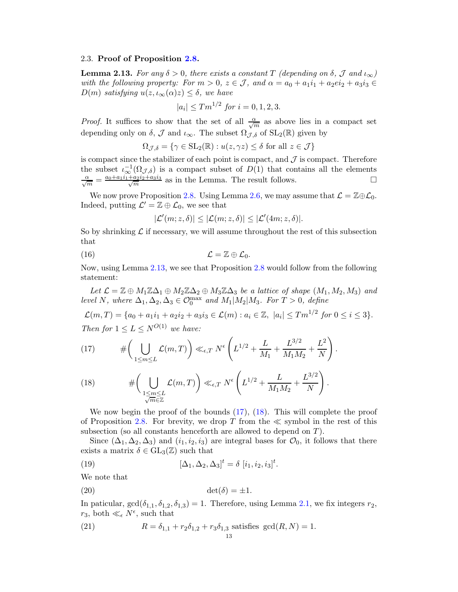#### <span id="page-12-0"></span>2.3. Proof of Proposition [2.8.](#page-11-0)

<span id="page-12-1"></span>**Lemma 2.13.** For any  $\delta > 0$ , there exists a constant T (depending on  $\delta$ , J and  $\iota_{\infty}$ ) with the following property: For  $m > 0$ ,  $z \in \mathcal{J}$ , and  $\alpha = a_0 + a_1 i_1 + a_2 e i_2 + a_3 i_3 \in$  $D(m)$  satisfying  $u(z, \iota_{\infty}(\alpha)z) \leq \delta$ , we have

$$
|a_i| \le Tm^{1/2} \text{ for } i = 0, 1, 2, 3.
$$

*Proof.* It suffices to show that the set of all  $\frac{\alpha}{\sqrt{m}}$  as above lies in a compact set depending only on  $\delta$ ,  $\mathcal J$  and  $\iota_{\infty}$ . The subset  $\Omega_{\mathcal J,\delta}$  of  $SL_2(\mathbb R)$  given by

$$
\Omega_{\mathcal{J},\delta} = \{ \gamma \in SL_2(\mathbb{R}) : u(z, \gamma z) \le \delta \text{ for all } z \in \mathcal{J} \}
$$

is compact since the stabilizer of each point is compact, and  $\mathcal J$  is compact. Therefore the subset  $\iota_{\infty}^{-1}(\Omega_{\mathcal{J},\delta})$  is a compact subset of  $D(1)$  that contains all the elements  $\frac{\alpha}{\sqrt{m}} = \frac{a_0 + a_1 i_1 + a_2 i_2 + a_3 i_3}{\sqrt{m}}$  $\frac{a_2i_2+a_3i_3}{m}$  as in the Lemma. The result follows.

We now prove Proposition [2.8.](#page-11-0) Using Lemma [2.6,](#page-11-1) we may assume that  $\mathcal{L} = \mathbb{Z} \oplus \mathcal{L}_0$ . Indeed, putting  $\mathcal{L}' = \mathbb{Z} \oplus \mathcal{L}_0$ , we see that

<span id="page-12-5"></span>
$$
|\mathcal{L}'(m; z, \delta)| \leq |\mathcal{L}(m; z, \delta)| \leq |\mathcal{L}'(4m; z, \delta)|.
$$

So by shrinking  $\mathcal L$  if necessary, we will assume throughout the rest of this subsection that

$$
(16) \t\t\t \mathcal{L} = \mathbb{Z} \oplus \mathcal{L}_0.
$$

Now, using Lemma [2.13,](#page-12-1) we see that Proposition [2.8](#page-11-0) would follow from the following statement:

Let  $\mathcal{L} = \mathbb{Z} \oplus M_1 \mathbb{Z} \Delta_1 \oplus M_2 \mathbb{Z} \Delta_2 \oplus M_3 \mathbb{Z} \Delta_3$  be a lattice of shape  $(M_1, M_2, M_3)$  and level N, where  $\Delta_1, \Delta_2, \Delta_3 \in \mathcal{O}_0^{\max}$  and  $M_1|M_2|M_3$ . For  $T > 0$ , define

 $\mathcal{L}(m,T) = \{a_0 + a_1i_1 + a_2i_2 + a_3i_3 \in \mathcal{L}(m) : a_i \in \mathbb{Z}, |a_i| \leq T m^{1/2} \text{ for } 0 \leq i \leq 3\}.$ Then for  $1 \leq L \leq N^{O(1)}$  we have:

.

<span id="page-12-2"></span>(17) 
$$
\# \bigg( \bigcup_{1 \leq m \leq L} \mathcal{L}(m, T) \bigg) \ll_{\epsilon, T} N^{\epsilon} \bigg( L^{1/2} + \frac{L}{M_1} + \frac{L^{3/2}}{M_1 M_2} + \frac{L^2}{N} \bigg)
$$

<span id="page-12-3"></span>(18) 
$$
\#\left(\bigcup_{\substack{1\leq m\leq L\\ \sqrt{m}\in\mathbb{Z}}} \mathcal{L}(m,T)\right)\ll_{\epsilon,T} N^{\epsilon}\left(L^{1/2}+\frac{L}{M_1M_2}+\frac{L^{3/2}}{N}\right).
$$

We now begin the proof of the bounds [\(17\)](#page-12-2), [\(18\)](#page-12-3). This will complete the proof of Proposition [2.8.](#page-11-0) For brevity, we drop T from the  $\ll$  symbol in the rest of this subsection (so all constants henceforth are allowed to depend on T).

Since  $(\Delta_1, \Delta_2, \Delta_3)$  and  $(i_1, i_2, i_3)$  are integral bases for  $\mathcal{O}_0$ , it follows that there exists a matrix  $\delta \in GL_3(\mathbb{Z})$  such that

<span id="page-12-4"></span>(19) 
$$
[\Delta_1, \Delta_2, \Delta_3]^t = \delta [i_1, i_2, i_3]^t.
$$

We note that

$$
\det(\delta) = \pm 1.
$$

In paticular,  $gcd(\delta_{1,1}, \delta_{1,2}, \delta_{1,3}) = 1$ . Therefore, using Lemma [2.1,](#page-8-1) we fix integers  $r_2$ ,  $r_3$ , both  $\ll_{\epsilon} N^{\epsilon}$ , such that

(21) 
$$
R = \delta_{1,1} + r_2 \delta_{1,2} + r_3 \delta_{1,3} \text{ satisfies } \gcd(R, N) = 1.
$$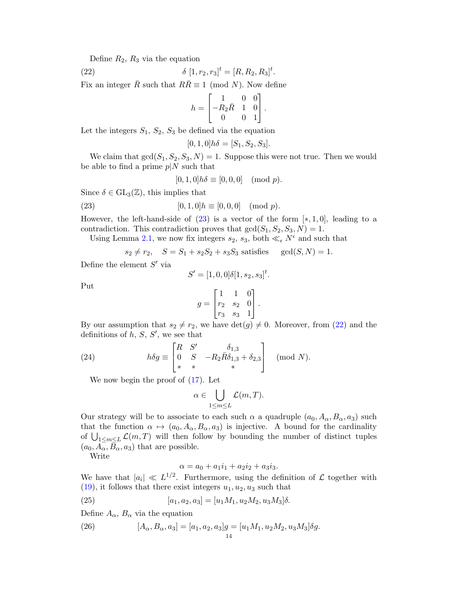Define  $R_2$ ,  $R_3$  via the equation

(22) 
$$
\delta [1, r_2, r_3]^t = [R, R_2, R_3]^t.
$$

Fix an integer  $\overline{R}$  such that  $R\overline{R} \equiv 1 \pmod{N}$ . Now define

<span id="page-13-1"></span>
$$
h = \begin{bmatrix} 1 & 0 & 0 \\ -R_2 \bar{R} & 1 & 0 \\ 0 & 0 & 1 \end{bmatrix}.
$$

Let the integers  $S_1$ ,  $S_2$ ,  $S_3$  be defined via the equation

$$
[0,1,0]h\delta = [S_1, S_2, S_3].
$$

We claim that  $gcd(S_1, S_2, S_3, N) = 1$ . Suppose this were not true. Then we would be able to find a prime  $p|N$  such that

<span id="page-13-0"></span>
$$
[0,1,0]h\delta \equiv [0,0,0] \pmod{p}.
$$

Since  $\delta \in GL_3(\mathbb{Z})$ , this implies that

(23) 
$$
[0,1,0]h \equiv [0,0,0] \pmod{p}.
$$

However, the left-hand-side of  $(23)$  is a vector of the form  $[*, 1, 0]$ , leading to a contradiction. This contradiction proves that  $gcd(S_1, S_2, S_3, N) = 1$ .

Using Lemma [2.1,](#page-8-1) we now fix integers  $s_2$ ,  $s_3$ , both  $\ll_{\epsilon} N^{\epsilon}$  and such that

$$
s_2 \neq r_2
$$
,  $S = S_1 + s_2S_2 + s_3S_3$  satisfies  $gcd(S, N) = 1$ .

Define the element  $S'$  via

$$
S' = [1, 0, 0]\delta[1, s_2, s_3]^t.
$$

Put

$$
g = \begin{bmatrix} 1 & 1 & 0 \\ r_2 & s_2 & 0 \\ r_3 & s_3 & 1 \end{bmatrix}.
$$

By our assumption that  $s_2 \neq r_2$ , we have  $\det(g) \neq 0$ . Moreover, from [\(22\)](#page-13-1) and the definitions of  $h, S, S'$ , we see that

(24) 
$$
h\delta g \equiv \begin{bmatrix} R & S' & \delta_{1,3} \\ 0 & S & -R_2 \overline{R} \delta_{1,3} + \delta_{2,3} \\ * & * & * \end{bmatrix} \pmod{N}.
$$

We now begin the proof of [\(17\)](#page-12-2). Let

<span id="page-13-3"></span>
$$
\alpha \in \bigcup_{1 \leq m \leq L} \mathcal{L}(m, T).
$$

Our strategy will be to associate to each such  $\alpha$  a quadruple  $(a_0, A_\alpha, B_\alpha, a_3)$  such that the function  $\alpha \mapsto (a_0, A_\alpha, B_\alpha, a_3)$  is injective. A bound for the cardinality of  $\bigcup_{1 \leq m \leq L} \mathcal{L}(m, T)$  will then follow by bounding the number of distinct tuples  $(a_0, A_\alpha, B_\alpha, a_3)$  that are possible.

Write

$$
\alpha = a_0 + a_1 i_1 + a_2 i_2 + a_3 i_3.
$$

We have that  $|a_i| \ll L^{1/2}$ . Furthermore, using the definition of  $\mathcal L$  together with  $(19)$ , it follows that there exist integers  $u_1, u_2, u_3$  such that

(25) 
$$
[a_1, a_2, a_3] = [u_1 M_1, u_2 M_2, u_3 M_3] \delta.
$$

Define  $A_{\alpha}$ ,  $B_{\alpha}$  via the equation

<span id="page-13-2"></span>(26) 
$$
[A_{\alpha}, B_{\alpha}, a_3] = [a_1, a_2, a_3]g = [u_1M_1, u_2M_2, u_3M_3]\delta g.
$$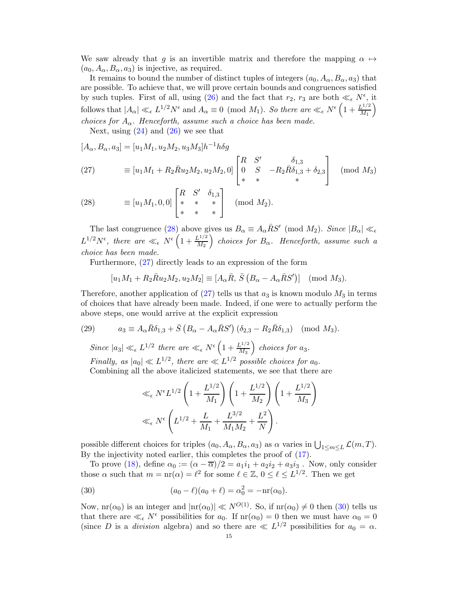We saw already that g is an invertible matrix and therefore the mapping  $\alpha \mapsto$  $(a_0, A_\alpha, B_\alpha, a_3)$  is injective, as required.

It remains to bound the number of distinct tuples of integers  $(a_0, A_\alpha, B_\alpha, a_3)$  that are possible. To achieve that, we will prove certain bounds and congruences satisfied by such tuples. First of all, using [\(26\)](#page-13-2) and the fact that  $r_2$ ,  $r_3$  are both  $\ll_{\epsilon} N^{\epsilon}$ , it follows that  $|A_{\alpha}| \ll_{\epsilon} L^{1/2} N^{\epsilon}$  and  $A_{\alpha} \equiv 0 \pmod{M_1}$ . So there are  $\ll_{\epsilon} N^{\epsilon} \left(1 + \frac{L^{1/2}}{M_1}\right)$  $\frac{L^{1/2}}{M_1}\bigg)$ choices for  $A_{\alpha}$ . Henceforth, assume such a choice has been made.

Next, using  $(24)$  and  $(26)$  we see that

 $[A_{\alpha}, B_{\alpha}, a_3] = [u_1 M_1, u_2 M_2, u_3 M_3] h^{-1} h \delta g$ 

<span id="page-14-1"></span>(27) 
$$
\equiv [u_1 M_1 + R_2 \bar{R} u_2 M_2, u_2 M_2, 0] \begin{bmatrix} R & S' & \delta_{1,3} \\ 0 & S & -R_2 \bar{R} \delta_{1,3} + \delta_{2,3} \\ * & * & * \end{bmatrix} \pmod{M_3}
$$

<span id="page-14-0"></span>(28) 
$$
\equiv [u_1 M_1, 0, 0] \begin{bmatrix} R & S' & \delta_{1,3} \\ * & * & * \\ * & * & * \end{bmatrix}
$$
 (mod  $M_2$ ).

The last congruence [\(28\)](#page-14-0) above gives us  $B_{\alpha} \equiv A_{\alpha} \bar{R} S'$  (mod  $M_2$ ). Since  $|B_{\alpha}| \ll_{\epsilon}$  $L^{1/2}N^{\epsilon}$ , there are  $\ll_{\epsilon} N^{\epsilon} \left(1 + \frac{L^{1/2}}{M_2}\right)$  $\left(\frac{L^{1/2}}{M_2}\right)$  choices for  $B_\alpha$ . Henceforth, assume such a choice has been made.

Furthermore, [\(27\)](#page-14-1) directly leads to an expression of the form

$$
[u_1M_1 + R_2\overline{R}u_2M_2, u_2M_2] \equiv [A_{\alpha}\overline{R}, \overline{S}(B_{\alpha} - A_{\alpha}\overline{R}S')] \pmod{M_3}.
$$

Therefore, another application of  $(27)$  tells us that  $a_3$  is known modulo  $M_3$  in terms of choices that have already been made. Indeed, if one were to actually perform the above steps, one would arrive at the explicit expression

(29) 
$$
a_3 \equiv A_\alpha \bar{R} \delta_{1,3} + \bar{S} \left( B_\alpha - A_\alpha \bar{R} S' \right) (\delta_{2,3} - R_2 \bar{R} \delta_{1,3}) \pmod{M_3}.
$$

Since  $|a_3| \ll_{\epsilon} L^{1/2}$  there are  $\ll_{\epsilon} N^{\epsilon} \left(1 + \frac{L^{1/2}}{M_3}\right)$  choices for  $a_3$ . Finally, as  $|a_0| \ll L^{1/2}$ , there are  $\ll L^{1/2}$  possible choices for  $a_0$ . Combining all the above italicized statements, we see that there are

$$
\ll_{\epsilon} N^{\epsilon} L^{1/2} \left( 1 + \frac{L^{1/2}}{M_1} \right) \left( 1 + \frac{L^{1/2}}{M_2} \right) \left( 1 + \frac{L^{1/2}}{M_3} \right) \n\ll_{\epsilon} N^{\epsilon} \left( L^{1/2} + \frac{L}{M_1} + \frac{L^{3/2}}{M_1 M_2} + \frac{L^2}{N} \right).
$$

possible different choices for triples  $(a_0, A_\alpha, B_\alpha, a_3)$  as  $\alpha$  varies in  $\bigcup_{1 \le m \le L} \mathcal{L}(m, T)$ . By the injectivity noted earlier, this completes the proof of [\(17\)](#page-12-2).

To prove [\(18\)](#page-12-3), define  $\alpha_0 := (\alpha - \overline{\alpha})/2 = a_1i_1 + a_2i_2 + a_3i_3$ . Now, only consider those  $\alpha$  such that  $m = \text{nr}(\alpha) = \ell^2$  for some  $\ell \in \mathbb{Z}$ ,  $0 \leq \ell \leq L^{1/2}$ . Then we get

<span id="page-14-2"></span>(30) 
$$
(a_0 - \ell)(a_0 + \ell) = \alpha_0^2 = -\mathrm{nr}(\alpha_0).
$$

Now,  $\text{nr}(\alpha_0)$  is an integer and  $|\text{nr}(\alpha_0)| \ll N^{O(1)}$ . So, if  $\text{nr}(\alpha_0) \neq 0$  then [\(30\)](#page-14-2) tells us that there are  $\ll_{\epsilon} N^{\epsilon}$  possibilities for  $a_0$ . If  $nr(\alpha_0) = 0$  then we must have  $\alpha_0 = 0$ (since D is a *division* algebra) and so there are  $\ll L^{1/2}$  possibilities for  $a_0 = \alpha$ .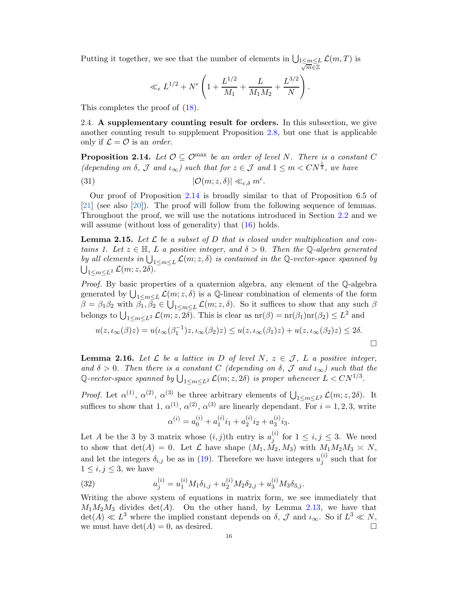Putting it together, we see that the number of elements in  $\bigcup_{\substack{1 \le m \le L}}$  $\overline{m}$ ∈Z  $\mathcal{L}(m,T)$  is

$$
\ll_{\epsilon} L^{1/2} + N^{\epsilon} \left( 1 + \frac{L^{1/2}}{M_1} + \frac{L}{M_1 M_2} + \frac{L^{3/2}}{N} \right).
$$

<span id="page-15-1"></span>This completes the proof of [\(18\)](#page-12-3).

2.4. A supplementary counting result for orders. In this subsection, we give another counting result to supplement Proposition [2.8,](#page-11-0) but one that is applicable only if  $\mathcal{L} = \mathcal{O}$  is an *order*.

<span id="page-15-0"></span>**Proposition 2.14.** Let  $\mathcal{O} \subseteq \mathcal{O}^{\text{max}}$  be an order of level N. There is a constant C (depending on  $\delta$ ,  $\mathcal J$  and  $\iota_{\infty}$ ) such that for  $z \in \mathcal J$  and  $1 \leq m < CN^{\frac{1}{3}}$ , we have

(31) 
$$
|\mathcal{O}(m; z, \delta)| \ll_{\epsilon, \delta} m^{\epsilon}.
$$

Our proof of Proposition [2.14](#page-15-0) is broadly similar to that of Proposition 6.5 of [\[21\]](#page-29-1) (see also [\[20\]](#page-29-5)). The proof will follow from the following sequence of lemmas. Throughout the proof, we will use the notations introduced in Section [2.2](#page-10-0) and we will assume (without loss of generality) that  $(16)$  holds.

**Lemma 2.15.** Let  $\mathcal{L}$  be a subset of D that is closed under multiplication and contains 1. Let  $z \in \mathbb{H}$ , L a positive integer, and  $\delta > 0$ . Then the Q-algebra generated by all elements in  $\bigcup_{1 \leq m \leq L} \mathcal{L}(m; z, \delta)$  is contained in the Q-vector-space spanned by  $\bigcup_{1\leq m\leq L^2}\mathcal{L}(m;z,2\delta).$ 

Proof. By basic properties of a quaternion algebra, any element of the Q-algebra generated by  $\bigcup_{1 \le m \le L} \mathcal{L}(m; z, \delta)$  is a Q-linear combination of elements of the form  $\beta = \beta_1 \beta_2$  with  $\beta_1, \beta_2 \in \bigcup_{1 \leq m \leq L} \mathcal{L}(m; z, \delta)$ . So it suffices to show that any such  $\beta$ belongs to  $\bigcup_{1 \le m \le L^2} \mathcal{L}(m; z, 2\delta)$ . This is clear as  $nr(\beta) = nr(\beta_1)nr(\beta_2) \le L^2$  and

$$
u(z, \iota_{\infty}(\beta)z) = u(\iota_{\infty}(\beta_1^{-1})z, \iota_{\infty}(\beta_2)z) \le u(z, \iota_{\infty}(\beta_1)z) + u(z, \iota_{\infty}(\beta_2)z) \le 2\delta.
$$

**Lemma 2.16.** Let  $\mathcal L$  be a lattice in D of level N,  $z \in \mathcal J$ , L a positive integer, and  $\delta > 0$ . Then there is a constant C (depending on  $\delta$ , J and  $\iota_{\infty}$ ) such that the Q-vector-space spanned by  $\bigcup_{1\leq m\leq L^2} \mathcal{L}(m; z, 2\delta)$  is proper whenever  $L < CN^{1/3}$ .

*Proof.* Let  $\alpha^{(1)}$ ,  $\alpha^{(2)}$ ,  $\alpha^{(3)}$  be three arbitrary elements of  $\bigcup_{1 \leq m \leq L^2} \mathcal{L}(m; z, 2\delta)$ . It suffices to show that 1,  $\alpha^{(1)}$ ,  $\alpha^{(2)}$ ,  $\alpha^{(3)}$  are linearly dependant. For  $i = 1, 2, 3$ , write

$$
\alpha^{(i)} = a_0^{(i)} + a_1^{(i)} i_1 + a_2^{(i)} i_2 + a_3^{(i)} i_3.
$$

Let A be the 3 by 3 matrix whose  $(i, j)$ th entry is  $a_j^{(i)}$  $j^{(i)}$  for  $1 \leq i, j \leq 3$ . We need to show that  $\det(A) = 0$ . Let  $\mathcal L$  have shape  $(M_1, \tilde{M}_2, M_3)$  with  $M_1M_2M_3 \simeq N$ , and let the integers  $\delta_{i,j}$  be as in [\(19\)](#page-12-4). Therefore we have integers  $u_j^{(i)}$  $j^{(i)}$  such that for  $1 \leq i, j \leq 3$ , we have

(32) 
$$
a_j^{(i)} = u_1^{(i)} M_1 \delta_{1,j} + u_2^{(i)} M_2 \delta_{2,j} + u_3^{(i)} M_3 \delta_{3,j}.
$$

Writing the above system of equations in matrix form, we see immediately that  $M_1M_2M_3$  divides  $det(A)$ . On the other hand, by Lemma [2.13,](#page-12-1) we have that  $\det(A) \ll L^3$  where the implied constant depends on  $\delta$ ,  $\mathcal{J}$  and  $\iota_{\infty}$ . So if  $L^3 \ll N$ , we must have  $\det(A) = 0$ , as desired.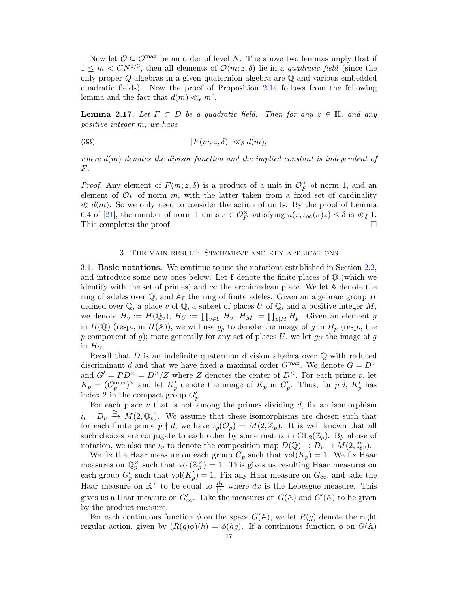Now let  $\mathcal{O} \subset \mathcal{O}^{\max}$  be an order of level N. The above two lemmas imply that if  $1 \leq m \lt CN^{1/3}$ , then all elements of  $\mathcal{O}(m; z, \delta)$  lie in a quadratic field (since the only proper Q-algebras in a given quaternion algebra are Q and various embedded quadratic fields). Now the proof of Proposition [2.14](#page-15-0) follows from the following lemma and the fact that  $d(m) \ll_{\epsilon} m^{\epsilon}$ .

**Lemma 2.17.** Let  $F \subset D$  be a quadratic field. Then for any  $z \in \mathbb{H}$ , and any positive integer m, we have

(33) 
$$
|F(m; z, \delta)| \ll_{\delta} d(m),
$$

where  $d(m)$  denotes the divisor function and the implied constant is independent of  $F$ .

*Proof.* Any element of  $F(m; z, \delta)$  is a product of a unit in  $\mathcal{O}_F^{\times}$  of norm 1, and an element of  $\mathcal{O}_F$  of norm m, with the latter taken from a fixed set of cardinality  $\ll d(m)$ . So we only need to consider the action of units. By the proof of Lemma 6.4 of [\[21\]](#page-29-1), the number of norm 1 units  $\kappa \in \mathcal{O}_F^{\times}$  satisfying  $u(z, \iota_{\infty}(\kappa)z) \leq \delta$  is  $\ll_{\delta} 1$ . This completes the proof.

#### 3. The main result: Statement and key applications

3.1. Basic notations. We continue to use the notations established in Section [2.2,](#page-10-0) and introduce some new ones below. Let  $f$  denote the finite places of  $\mathbb Q$  (which we identify with the set of primes) and  $\infty$  the archimedean place. We let A denote the ring of adeles over  $\mathbb{Q}$ , and  $\mathbb{A}_{\mathbf{f}}$  the ring of finite adeles. Given an algebraic group H defined over  $\mathbb Q$ , a place v of  $\mathbb Q$ , a subset of places U of  $\mathbb Q$ , and a positive integer M, we denote  $H_v := H(\mathbb{Q}_v)$ ,  $H_U := \prod_{v \in U} H_v$ ,  $H_M := \prod_{p \mid M} H_p$ . Given an element g in  $H(\mathbb{Q})$  (resp., in  $H(\mathbb{A})$ ), we will use  $g_p$  to denote the image of g in  $H_p$  (resp., the p-component of g); more generally for any set of places  $U$ , we let  $g_U$  the image of g in  $H_U$ .

Recall that  $D$  is an indefinite quaternion division algebra over  $\mathbb Q$  with reduced discriminant d and that we have fixed a maximal order  $O^{max}$ . We denote  $G = D^{\times}$ and  $G' = PD^{\times} = D^{\times}/Z$  where Z denotes the center of  $D^{\times}$ . For each prime p, let  $K_p = (\mathcal{O}_p^{\max})^{\times}$  and let  $K'_p$  denote the image of  $K_p$  in  $G'_p$ . Thus, for  $p|d$ ,  $K'_p$  has index 2 in the compact group  $G'_{p}$ .

For each place  $v$  that is not among the primes dividing  $d$ , fix an isomorphism  $\iota_v : D_v \stackrel{\cong}{\to} M(2,\mathbb{Q}_v)$ . We assume that these isomorphisms are chosen such that for each finite prime  $p \nmid d$ , we have  $\iota_p(\mathcal{O}_p) = M(2,\mathbb{Z}_p)$ . It is well known that all such choices are conjugate to each other by some matrix in  $GL_2(\mathbb{Z}_p)$ . By abuse of notation, we also use  $\iota_v$  to denote the composition map  $D(\mathbb{Q}) \to D_v \to M(2, \mathbb{Q}_v)$ .

We fix the Haar measure on each group  $G_p$  such that vol $(K_p) = 1$ . We fix Haar measures on  $\mathbb{Q}_p^{\times}$  such that vol $(\mathbb{Z}_p^{\times})=1$ . This gives us resulting Haar measures on each group  $G'_p$  such that vol $(K'_p) = 1$ . Fix any Haar measure on  $G_{\infty}$ , and take the Haar measure on  $\mathbb{R}^{\times}$  to be equal to  $\frac{dx}{|x|}$  where dx is the Lebesgue measure. This gives us a Haar measure on  $G'_{\infty}$ . Take the measures on  $G(\mathbb{A})$  and  $G'(\mathbb{A})$  to be given by the product measure.

For each continuous function  $\phi$  on the space  $G(\mathbb{A})$ , we let  $R(g)$  denote the right regular action, given by  $(R(g)\phi)(h) = \phi(hg)$ . If a continuous function  $\phi$  on  $G(\mathbb{A})$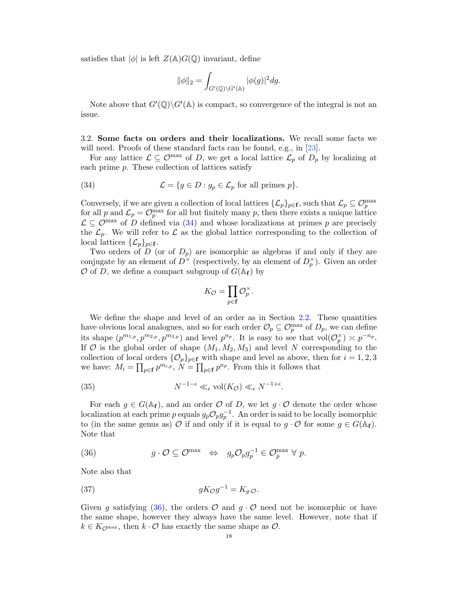satisfies that  $|\phi|$  is left  $Z(\mathbb{A})G(\mathbb{Q})$  invariant, define

$$
\|\phi\|_2 = \int_{G'(\mathbb{Q})\backslash G'(\mathbb{A})} |\phi(g)|^2 dg.
$$

Note above that  $G'(\mathbb{Q})\backslash G'(\mathbb{A})$  is compact, so convergence of the integral is not an issue.

<span id="page-17-2"></span>3.2. Some facts on orders and their localizations. We recall some facts we will need. Proofs of these standard facts can be found, e.g., in [\[23\]](#page-29-9).

For any lattice  $\mathcal{L} \subseteq \mathcal{O}^{\max}$  of D, we get a local lattice  $\mathcal{L}_p$  of  $D_p$  by localizing at each prime p. These collection of lattices satisfy

<span id="page-17-0"></span>(34) 
$$
\mathcal{L} = \{g \in D : g_p \in \mathcal{L}_p \text{ for all primes } p\}.
$$

Conversely, if we are given a collection of local lattices  $\{\mathcal{L}_p\}_{p\in\mathbf{f}}$ , such that  $\mathcal{L}_p \subseteq \mathcal{O}_p^{\max}$ for all p and  $\mathcal{L}_p = \mathcal{O}_p^{\max}$  for all but finitely many p, then there exists a unique lattice  $\mathcal{L} \subseteq \mathcal{O}^{\max}$  of D defined via [\(34\)](#page-17-0) and whose localizations at primes p are precisely the  $\mathcal{L}_p$ . We will refer to  $\mathcal L$  as the global lattice corresponding to the collection of local lattices  $\{\mathcal{L}_p\}_{p\in\mathbf{f}}$ .

Two orders of D (or of  $D_p$ ) are isomorphic as algebras if and only if they are conjugate by an element of  $D^{\times}$  (respectively, by an element of  $D_p^{\times}$ ). Given an order  $\mathcal O$  of D, we define a compact subgroup of  $G(\mathbb A_f)$  by

$$
K_{\mathcal{O}} = \prod_{p \in \mathbf{f}} \mathcal{O}_p^{\times}.
$$

We define the shape and level of an order as in Section [2.2.](#page-10-0) These quantities have obvious local analogues, and so for each order  $\mathcal{O}_p \subseteq \mathcal{O}_p^{\max}$  of  $D_p$ , we can define its shape  $(p^{m_{1,p}}, p^{m_{2,p}}, p^{m_{3,p}})$  and level  $p^{n_p}$ . It is easy to see that  $\text{vol}(\mathcal{O}_p^{\times}) \asymp p^{-n_p}$ . If O is the global order of shape  $(M_1, M_2, M_3)$  and level N corresponding to the collection of local orders  $\{\mathcal{O}_p\}_{p\in\mathbf{f}}$  with shape and level as above, then for  $i=1,2,3$ we have:  $M_i = \prod_{p \in \mathbf{f}} p^{m_{i,p}}, N = \prod_{p \in \mathbf{f}} p^{n_p}$ . From this it follows that

<span id="page-17-3"></span>(35) 
$$
N^{-1-\epsilon} \ll_{\epsilon} \text{vol}(K_{\mathcal{O}}) \ll_{\epsilon} N^{-1+\epsilon}.
$$

For each  $g \in G(\mathbb{A}_{f})$ , and an order  $\mathcal O$  of D, we let  $g \cdot \mathcal O$  denote the order whose localization at each prime p equals  $g_p \mathcal{O}_p g_p^{-1}$ . An order is said to be locally isomorphic to (in the same genus as) O if and only if it is equal to  $q \cdot \mathcal{O}$  for some  $q \in G(\mathbb{A}_{\mathbf{f}})$ . Note that

<span id="page-17-1"></span>(36) 
$$
g \cdot \mathcal{O} \subseteq \mathcal{O}^{\max} \iff g_p \mathcal{O}_p g_p^{-1} \in \mathcal{O}_p^{\max} \ \forall \ p.
$$

Note also that

(37) 
$$
gK_{\mathcal{O}}g^{-1} = K_g.\mathcal{O}.
$$

Given g satisfying [\(36\)](#page-17-1), the orders  $\mathcal O$  and  $g \cdot \mathcal O$  need not be isomorphic or have the same shape, however they always have the same level. However, note that if  $k \in K_{\mathcal{O}^{\max}}$ , then  $k \cdot \mathcal{O}$  has exactly the same shape as  $\mathcal{O}$ .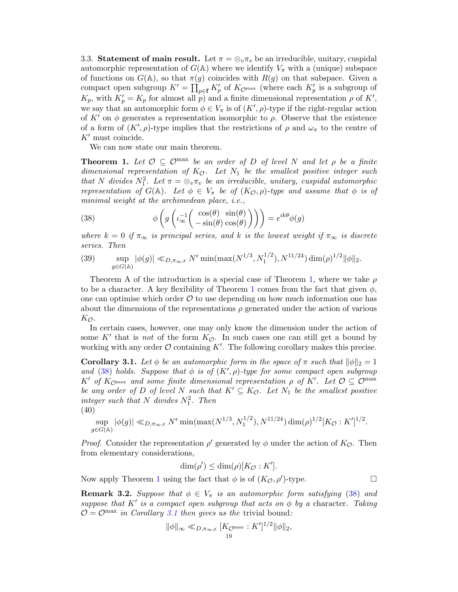<span id="page-18-5"></span>3.3. Statement of main result. Let  $\pi = \otimes_v \pi_v$  be an irreducible, unitary, cuspidal automorphic representation of  $G(A)$  where we identify  $V_{\pi}$  with a (unique) subspace of functions on  $G(A)$ , so that  $\pi(g)$  coincides with  $R(g)$  on that subspace. Given a compact open subgroup  $K' = \prod_{p \in \mathbf{f}} K'_p$  of  $K_{\mathcal{O}^{\text{max}}}$  (where each  $K'_p$  is a subgroup of  $K_p$ , with  $K'_p = K_p$  for almost all p) and a finite dimensional representation  $\rho$  of  $K'$ , we say that an automorphic form  $\phi \in V_{\pi}$  is of  $(K', \rho)$ -type if the right-regular action of K' on  $\phi$  generates a representation isomorphic to  $\rho$ . Observe that the existence of a form of  $(K', \rho)$ -type implies that the restrictions of  $\rho$  and  $\omega_{\pi}$  to the centre of  $K'$  must coincide.

We can now state our main theorem.

<span id="page-18-1"></span>**Theorem 1.** Let  $\mathcal{O} \subseteq \mathcal{O}^{\text{max}}$  be an order of D of level N and let  $\rho$  be a finite dimensional representation of  $K_{\mathcal{O}}$ . Let  $N_1$  be the smallest positive integer such that N divides  $N_1^2$ . Let  $\pi = \otimes_v \pi_v$  be an irreducible, unitary, cuspidal automorphic representation of  $G(\mathbb{A})$ . Let  $\phi \in V_{\pi}$  be of  $(K_{\mathcal{O}}, \rho)$ -type and assume that  $\phi$  is of minimal weight at the archimedean place, *i.e.*,

<span id="page-18-2"></span>(38) 
$$
\phi\left(g\left(\iota_{\infty}^{-1}\left(\begin{array}{c}\cos(\theta) & \sin(\theta) \\ -\sin(\theta) & \cos(\theta)\end{array}\right)\right)\right) = e^{ik\theta}\phi(g)
$$

where  $k = 0$  if  $\pi_{\infty}$  is principal series, and k is the lowest weight if  $\pi_{\infty}$  is discrete series. Then

<span id="page-18-4"></span>(39) 
$$
\sup_{g \in G(\mathbb{A})} |\phi(g)| \ll_{D, \pi_{\infty}, \epsilon} N^{\epsilon} \min(\max(N^{1/3}, N_1^{1/2}), N^{11/24}) \dim(\rho)^{1/2} ||\phi||_2.
$$

Theorem A of the introduction is a special case of Theorem [1,](#page-18-1) where we take  $\rho$ to be a character. A key flexibility of Theorem [1](#page-18-1) comes from the fact that given  $\phi$ , one can optimise which order  $\mathcal O$  to use depending on how much information one has about the dimensions of the representations  $\rho$  generated under the action of various  $K_{\mathcal{O}}$ .

In certain cases, however, one may only know the dimension under the action of some K' that is *not* of the form  $K_{\mathcal{O}}$ . In such cases one can still get a bound by working with any order  $\mathcal O$  containing  $K'$ . The following corollary makes this precise.

<span id="page-18-3"></span>**Corollary 3.1.** Let  $\phi$  be an automorphic form in the space of  $\pi$  such that  $\|\phi\|_2 = 1$ and [\(38\)](#page-18-2) holds. Suppose that  $\phi$  is of  $(K', \rho)$ -type for some compact open subgroup  $K'$  of  $K_{\mathcal{O}^{\text{max}}}$  and some finite dimensional representation  $\rho$  of  $K'$ . Let  $\mathcal{O} \subseteq \mathcal{O}^{\text{max}}$ be any order of D of level N such that  $K' \subseteq K_{\mathcal{O}}$ . Let  $N_1$  be the smallest positive integer such that N divides  $N_1^2$ . Then (40)

$$
\sup_{g \in G(\mathbb{A})} |\phi(g)| \ll_{D, \pi_{\infty}, \epsilon} N^{\epsilon} \min(\max(N^{1/3}, N_1^{1/2}), N^{11/24}) \dim(\rho)^{1/2} [K_{\mathcal{O}} : K']^{1/2}.
$$

*Proof.* Consider the representation  $\rho'$  generated by  $\phi$  under the action of  $K_{\mathcal{O}}$ . Then from elementary considerations,

$$
\dim(\rho') \le \dim(\rho)[K_{\mathcal{O}} : K'].
$$

Now apply Theorem [1](#page-18-1) using the fact that  $\phi$  is of  $(K_{\mathcal{O}}, \rho')$ -type.

<span id="page-18-0"></span>**Remark 3.2.** Suppose that  $\phi \in V_\pi$  is an automorphic form satisfying [\(38\)](#page-18-2) and suppose that K' is a compact open subgroup that acts on  $\phi$  by a character. Taking  $\mathcal{O} = \mathcal{O}^{\text{max}}$  in Corollary [3.1](#page-18-3) then gives us the trivial bound:

$$
\|\phi\|_{\infty} \ll_{D,\pi_{\infty},\epsilon} [K_{\mathcal{O}^{\max}} : K']^{1/2} \|\phi\|_2,
$$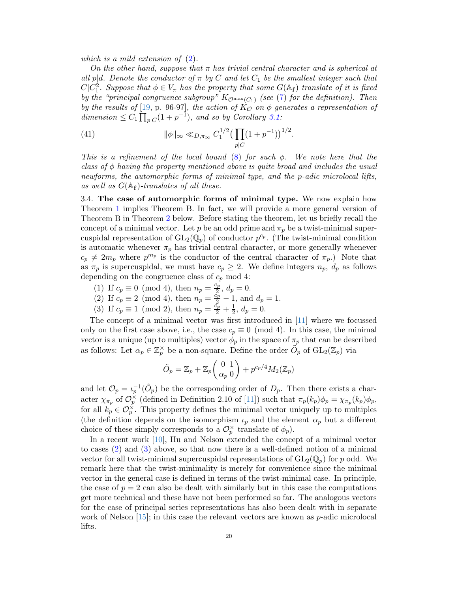which is a mild extension of [\(2\)](#page-1-0).

On the other hand, suppose that  $\pi$  has trivial central character and is spherical at all p|d. Denote the conductor of  $\pi$  by C and let  $C_1$  be the smallest integer such that  $C|C_1^2$ . Suppose that  $\phi \in V_\pi$  has the property that some  $G(\mathbb{A}_{\mathbf{f}})$  translate of it is fixed by the "principal congruence subgroup"  $K_{\mathcal{O}^{\max}(C_1)}$  (see [\(7\)](#page-3-1) for the definition). Then by the results of [\[19,](#page-29-10) p. 96-97], the action of  $K_{\mathcal{O}}$  on  $\phi$  generates a representation of dimension  $\leq C_1 \prod_{p \mid C} (1 + p^{-1})$ , and so by Corollary [3.1:](#page-18-3)

(41) 
$$
\|\phi\|_{\infty} \ll_{D,\pi_{\infty}} C_1^{1/2} \left(\prod_{p|C} (1+p^{-1})\right)^{1/2}.
$$

This is a refinement of the local bound [\(8\)](#page-4-1) for such  $\phi$ . We note here that the class of  $\phi$  having the property mentioned above is quite broad and includes the usual newforms, the automorphic forms of minimal type, and the p-adic microlocal lifts, as well as  $G(\mathbb{A}_{f})$ -translates of all these.

3.4. The case of automorphic forms of minimal type. We now explain how Theorem [1](#page-18-1) implies Theorem B. In fact, we will provide a more general version of Theorem B in Theorem [2](#page-20-0) below. Before stating the theorem, let us briefly recall the concept of a minimal vector. Let p be an odd prime and  $\pi_p$  be a twist-minimal supercuspidal representation of  $GL_2(\mathbb{Q}_p)$  of conductor  $p^{c_p}$ . (The twist-minimal condition is automatic whenever  $\pi_p$  has trivial central character, or more generally whenever  $c_p \neq 2m_p$  where  $p^{m_p}$  is the conductor of the central character of  $\pi_p$ .) Note that as  $\pi_p$  is supercuspidal, we must have  $c_p \geq 2$ . We define integers  $n_p$ ,  $d_p$  as follows depending on the congruence class of  $c_p$  mod 4:

- <span id="page-19-0"></span>(1) If  $c_p \equiv 0 \pmod{4}$ , then  $n_p = \frac{c_p}{2}$  $\frac{2p}{2}, d_p = 0.$
- <span id="page-19-1"></span>(2) If  $c_p \equiv 2 \pmod{4}$ , then  $n_p = \frac{\tilde{c}_p}{2} - 1$ , and  $d_p = 1$ .
- (3) If  $c_p \equiv 1 \pmod{2}$ , then  $n_p = \frac{c_p}{2} + \frac{1}{2}$  $\frac{1}{2}$ ,  $d_p = 0$ .

The concept of a minimal vector was first introduced in [\[11\]](#page-28-0) where we focussed only on the first case above, i.e., the case  $c_p \equiv 0 \pmod{4}$ . In this case, the minimal vector is a unique (up to multiples) vector  $\phi_p$  in the space of  $\pi_p$  that can be described as follows: Let  $\alpha_p \in \mathbb{Z}_p^{\times}$  be a non-square. Define the order  $\widetilde{O}_p$  of  $GL_2(\mathbb{Z}_p)$  via

$$
\tilde{O}_p = \mathbb{Z}_p + \mathbb{Z}_p \left( \begin{array}{c} 0 & 1 \\ \alpha_p & 0 \end{array} \right) + p^{c_p/4} M_2(\mathbb{Z}_p)
$$

and let  $\mathcal{O}_p = \iota_p^{-1}(\tilde{O}_p)$  be the corresponding order of  $D_p$ . Then there exists a character  $\chi_{\pi_p}$  of  $\mathcal{O}_p^{\times}$  (defined in Definition 2.10 of [\[11\]](#page-28-0)) such that  $\pi_p(k_p)\phi_p = \chi_{\pi_p}(k_p)\phi_p$ , for all  $k_p \in \mathcal{O}_p^{\times}$ . This property defines the minimal vector uniquely up to multiples (the definition depends on the isomorphism  $\iota_p$  and the element  $\alpha_p$  but a different choice of these simply corresponds to a  $\mathcal{O}_p^{\times}$  translate of  $\phi_p$ ).

In a recent work [\[10\]](#page-28-7), Hu and Nelson extended the concept of a minimal vector to cases [\(2\)](#page-19-0) and [\(3\)](#page-19-1) above, so that now there is a well-defined notion of a minimal vector for all twist-minimal supercuspidal representations of  $GL_2(\mathbb{Q}_p)$  for p odd. We remark here that the twist-minimality is merely for convenience since the minimal vector in the general case is defined in terms of the twist-minimal case. In principle, the case of  $p = 2$  can also be dealt with similarly but in this case the computations get more technical and these have not been performed so far. The analogous vectors for the case of principal series representations has also been dealt with in separate work of Nelson  $[15]$ ; in this case the relevant vectors are known as  $p$ -adic microlocal lifts.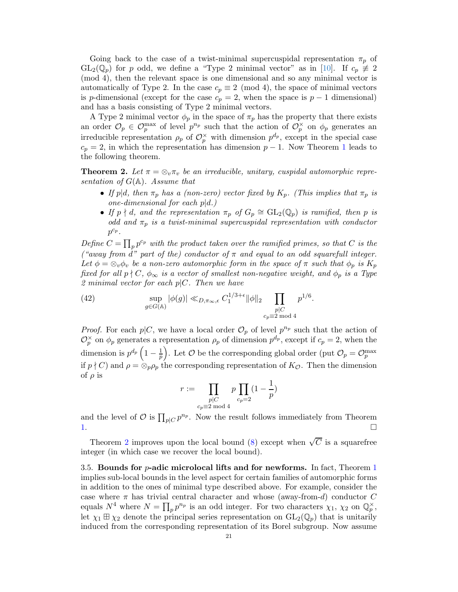Going back to the case of a twist-minimal supercuspidal representation  $\pi_p$  of  $GL_2(\mathbb{Q}_p)$  for p odd, we define a "Type 2 minimal vector" as in [\[10\]](#page-28-7). If  $c_p \neq 2$ (mod 4), then the relevant space is one dimensional and so any minimal vector is automatically of Type 2. In the case  $c_p \equiv 2 \pmod{4}$ , the space of minimal vectors is p-dimensional (except for the case  $c_p = 2$ , when the space is  $p - 1$  dimensional) and has a basis consisting of Type 2 minimal vectors.

A Type 2 minimal vector  $\phi_p$  in the space of  $\pi_p$  has the property that there exists an order  $\mathcal{O}_p \in \mathcal{O}_p^{\max}$  of level  $p^{n_p}$  such that the action of  $\mathcal{O}_p^{\times}$  on  $\phi_p$  generates an irreducible representation  $\rho_p$  of  $\mathcal{O}_p^{\times}$  with dimension  $p^{d_p}$ , except in the special case  $c_p = 2$ , in which the representation has dimension  $p - 1$  $p - 1$ . Now Theorem 1 leads to the following theorem.

<span id="page-20-0"></span>**Theorem 2.** Let  $\pi = \otimes_v \pi_v$  be an irreducible, unitary, cuspidal automorphic representation of  $G(\mathbb{A})$ . Assume that

- If p|d, then  $\pi_p$  has a (non-zero) vector fixed by  $K_p$ . (This implies that  $\pi_p$  is one-dimensional for each  $p|d.$ )
- If  $p \nmid d$ , and the representation  $\pi_p$  of  $G_p \cong GL_2(\mathbb{Q}_p)$  is ramified, then p is odd and  $\pi_p$  is a twist-minimal supercuspidal representation with conductor  $p^{c_p}$ .

Define  $C = \prod_p p^{c_p}$  with the product taken over the ramified primes, so that C is the ("away from d" part of the) conductor of  $\pi$  and equal to an odd squarefull integer. Let  $\phi = \otimes_v \phi_v$  be a non-zero automorphic form in the space of  $\pi$  such that  $\phi_p$  is  $K_p$ fixed for all  $p \nmid C$ ,  $\phi_{\infty}$  is a vector of smallest non-negative weight, and  $\phi_p$  is a Type 2 minimal vector for each  $p|C$ . Then we have

(42) 
$$
\sup_{g \in G(\mathbb{A})} |\phi(g)| \ll_{D, \pi_{\infty}, \epsilon} C_1^{1/3 + \epsilon} ||\phi||_2 \prod_{\substack{p | C \\ c_p \equiv 2 \bmod{4}}} p^{1/6}.
$$

*Proof.* For each  $p|C$ , we have a local order  $\mathcal{O}_p$  of level  $p^{n_p}$  such that the action of  $\mathcal{O}_p^{\times}$  on  $\phi_p$  generates a representation  $\rho_p$  of dimension  $p^{d_p}$ , except if  $c_p = 2$ , when the dimension is  $p^{d_p} \left(1 - \frac{1}{p}\right)$  $\frac{1}{p}$ ). Let  $\mathcal{O}$  be the corresponding global order (put  $\mathcal{O}_p = \mathcal{O}_p^{\max}$ if  $p \nmid C$ ) and  $\rho = \otimes_p \rho_p$  the corresponding representation of  $K_{\mathcal{O}}$ . Then the dimension of  $\rho$  is

$$
r := \prod_{\substack{p \mid C \\ c_p \equiv 2 \bmod 4}} p \prod_{c_p = 2} \left(1 - \frac{1}{p}\right)
$$

and the level of  $\mathcal O$  is  $\prod_{p|C} p^{n_p}$ . Now the result follows immediately from Theorem [1.](#page-18-1)  $\Box$ 

Theorem [2](#page-20-0) improves upon the local bound [\(8\)](#page-4-1) except when  $\sqrt{C}$  is a squarefree integer (in which case we recover the local bound).

3.5. Bounds for  $p$ -adic microlocal lifts and for newforms. In fact, Theorem [1](#page-18-1) implies sub-local bounds in the level aspect for certain families of automorphic forms in addition to the ones of minimal type described above. For example, consider the case where  $\pi$  has trivial central character and whose (away-from-d) conductor C equals  $N^4$  where  $N = \prod_p p^{n_p}$  is an odd integer. For two characters  $\chi_1$ ,  $\chi_2$  on  $\mathbb{Q}_p^{\times}$ , let  $\chi_1 \boxplus \chi_2$  denote the principal series representation on  $GL_2(\mathbb{Q}_p)$  that is unitarily induced from the corresponding representation of its Borel subgroup. Now assume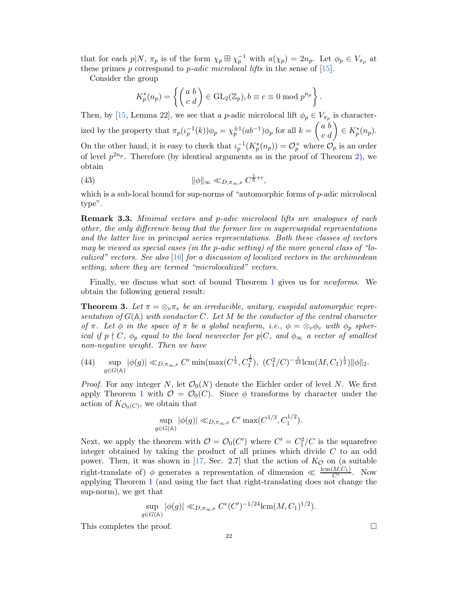that for each  $p|N$ ,  $\pi_p$  is of the form  $\chi_p \boxplus \chi_p^{-1}$  with  $a(\chi_p) = 2n_p$ . Let  $\phi_p \in V_{\pi_p}$  at these primes p correspond to p-adic microlocal lifts in the sense of  $[15]$ .

Consider the group

<span id="page-21-0"></span>
$$
K_p^*(n_p) = \left\{ \begin{pmatrix} a & b \\ c & d \end{pmatrix} \in \text{GL}_2(\mathbb{Z}_p), b \equiv c \equiv 0 \bmod p^{n_p} \right\}.
$$

Then, by [\[15,](#page-29-0) Lemma 22], we see that a *p*-adic microlocal lift  $\phi_p \in V_{\pi_p}$  is characterized by the property that  $\pi_p(\iota_p^{-1}(k))\phi_p = \chi_p^{\pm 1}(ab^{-1})\phi_p$  for all  $k = \begin{pmatrix} a & b \\ c & d \end{pmatrix} \in K_p^*(n_p)$ . On the other hand, it is easy to check that  $\iota_p^{-1}(K_p^*(n_p)) = \mathcal{O}_p^{\times}$  where  $\mathcal{O}_p$  is an order of level  $p^{2n_p}$ . Therefore (by identical arguments as in the proof of Theorem [2\)](#page-20-0), we obtain

(43) 
$$
\|\phi\|_{\infty} \ll_{D,\pi_{\infty},\epsilon} C^{\frac{1}{6}+\epsilon},
$$

which is a sub-local bound for sup-norms of "automorphic forms of  $p$ -adic microlocal type".

**Remark 3.3.** Minimal vectors and p-adic microlocal lifts are analogues of each other, the only difference being that the former live in supercuspidal representations and the latter live in principal series representations. Both these classes of vectors may be viewed as special cases (in the p-adic setting) of the more general class of "lo-calized" vectors. See also [\[16\]](#page-29-11) for a discussion of localized vectors in the archimedean setting, where they are termed "microlocalized" vectors.

Finally, we discuss what sort of bound Theorem [1](#page-18-1) gives us for newforms. We obtain the following general result:

<span id="page-21-1"></span>**Theorem 3.** Let  $\pi = \otimes_v \pi_v$  be an irreducible, unitary, cuspidal automorphic representation of  $G(\mathbb{A})$  with conductor C. Let M be the conductor of the central character of  $\pi$ . Let  $\phi$  in the space of  $\pi$  be a global newform, i.e.,  $\phi = \otimes_v \phi_v$  with  $\phi_p$  spherical if  $p \nmid C$ ,  $\phi_p$  equal to the local newvector for  $p|C$ , and  $\phi_{\infty}$  a vector of smallest non-negative weight. Then we have

(44) 
$$
\sup_{g \in G(\mathbb{A})} |\phi(g)| \ll_{D, \pi_{\infty}, \epsilon} C^{\epsilon} \min(\max(C^{\frac{1}{3}}, C^{\frac{1}{2}}_1), (C^2_1/C)^{-\frac{1}{24}} \text{lcm}(M, C_1)^{\frac{1}{2}}) ||\phi||_2.
$$

*Proof.* For any integer N, let  $\mathcal{O}_0(N)$  denote the Eichler order of level N. We first apply Theorem [1](#page-18-1) with  $\mathcal{O} = \mathcal{O}_0(C)$ . Since  $\phi$  transforms by character under the action of  $K_{\mathcal{O}_0(C)}$ , we obtain that

$$
\sup_{g \in G(\mathbb{A})} |\phi(g)| \ll_{D, \pi_{\infty}, \epsilon} C^{\epsilon} \max(C^{1/3}, C_1^{1/2}).
$$

Next, we apply the theorem with  $\mathcal{O} = \mathcal{O}_0(C')$  where  $C' = C_1^2/C$  is the squarefree integer obtained by taking the product of all primes which divide  $C$  to an odd power. Then, it was shown in [\[17,](#page-29-4) Sec. 2.7] that the action of  $K_{\mathcal{O}}$  on (a suitable right-translate of)  $\phi$  generates a representation of dimension  $\ll \frac{\text{lcm}(M,C_1)}{C'}$ . Now applying Theorem [1](#page-18-1) (and using the fact that right-translating does not change the sup-norm), we get that

$$
\sup_{g\in G(\mathbb{A})} |\phi(g)| \ll_{D,\pi_{\infty},\epsilon} C^{\epsilon}(C')^{-1/24} \operatorname{lcm}(M,C_1)^{1/2}).
$$

This completes the proof.  $\Box$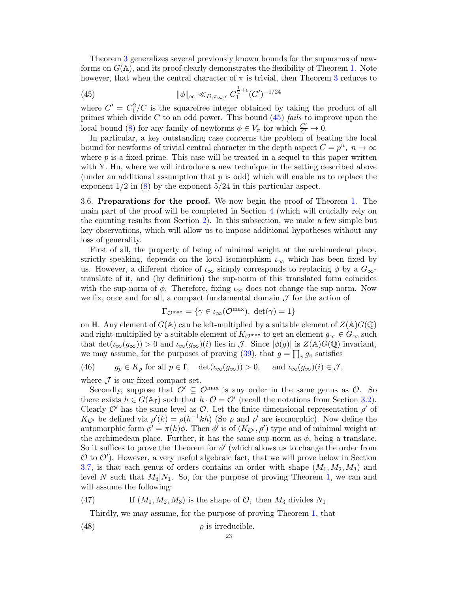Theorem [3](#page-21-1) generalizes several previously known bounds for the supnorms of newforms on  $G(\mathbb{A})$ , and its proof clearly demonstrates the flexibility of Theorem [1.](#page-18-1) Note however, that when the central character of  $\pi$  is trivial, then Theorem [3](#page-21-1) reduces to

<span id="page-22-0"></span>(45) 
$$
\|\phi\|_{\infty} \ll_{D,\pi_{\infty},\epsilon} C_1^{\frac{1}{2}+\epsilon}(C')^{-1/24}
$$

where  $C' = C_1^2/C$  is the squarefree integer obtained by taking the product of all primes which divide C to an odd power. This bound  $(45)$  fails to improve upon the local bound [\(8\)](#page-4-1) for any family of newforms  $\phi \in V_{\pi}$  for which  $\frac{C'}{C} \to 0$ .

In particular, a key outstanding case concerns the problem of beating the local bound for newforms of trivial central character in the depth aspect  $C = p^n$ ,  $n \to \infty$ where  $p$  is a fixed prime. This case will be treated in a sequel to this paper written with Y. Hu, where we will introduce a new technique in the setting described above (under an additional assumption that  $p$  is odd) which will enable us to replace the exponent  $1/2$  in  $(8)$  by the exponent  $5/24$  in this particular aspect.

3.6. Preparations for the proof. We now begin the proof of Theorem [1.](#page-18-1) The main part of the proof will be completed in Section [4](#page-24-0) (which will crucially rely on the counting results from Section [2\)](#page-8-3). In this subsection, we make a few simple but key observations, which will allow us to impose additional hypotheses without any loss of generality.

First of all, the property of being of minimal weight at the archimedean place, strictly speaking, depends on the local isomorphism  $\iota_{\infty}$  which has been fixed by us. However, a different choice of  $\iota_{\infty}$  simply corresponds to replacing  $\phi$  by a  $G_{\infty}$ translate of it, and (by definition) the sup-norm of this translated form coincides with the sup-norm of  $\phi$ . Therefore, fixing  $\iota_{\infty}$  does not change the sup-norm. Now we fix, once and for all, a compact fundamental domain  $\mathcal J$  for the action of

$$
\Gamma_{\mathcal{O}^{\max}} = \{ \gamma \in \iota_{\infty}(\mathcal{O}^{\max}), \ \det(\gamma) = 1 \}
$$

on H. Any element of  $G(A)$  can be left-multiplied by a suitable element of  $Z(A)G(\mathbb{Q})$ and right-multiplied by a suitable element of  $K_{\mathcal{O}^{\text{max}}}$  to get an element  $g_{\infty} \in G_{\infty}$  such that  $\det(\iota_{\infty}(g_{\infty})) > 0$  and  $\iota_{\infty}(g_{\infty})(i)$  lies in  $\mathcal{J}$ . Since  $|\phi(g)|$  is  $Z(\mathbb{A})G(\mathbb{Q})$  invariant, we may assume, for the purposes of proving  $(39)$ , that  $g = \prod_{v} g_v$  satisfies

<span id="page-22-3"></span>(46) 
$$
g_p \in K_p
$$
 for all  $p \in \mathbf{f}$ ,  $\det(\iota_\infty(g_\infty)) > 0$ , and  $\iota_\infty(g_\infty)(i) \in \mathcal{J}$ ,

where  $\mathcal J$  is our fixed compact set.

Secondly, suppose that  $\mathcal{O}' \subseteq \mathcal{O}^{\max}$  is any order in the same genus as  $\mathcal{O}$ . So there exists  $h \in G(\mathbb{A}_{f})$  such that  $h \cdot \mathcal{O} = \mathcal{O}'$  (recall the notations from Section [3.2\)](#page-17-2). Clearly  $\mathcal{O}'$  has the same level as  $\mathcal{O}$ . Let the finite dimensional representation  $\rho'$  of  $K_{\mathcal{O}'}$  be defined via  $\rho'(k) = \rho(h^{-1}kh)$  (So  $\rho$  and  $\rho'$  are isomorphic). Now define the automorphic form  $\phi' = \pi(h)\phi$ . Then  $\phi'$  is of  $(K_{\mathcal{O}'}, \rho')$  type and of minimal weight at the archimedean place. Further, it has the same sup-norm as  $\phi$ , being a translate. So it suffices to prove the Theorem for  $\phi'$  (which allows us to change the order from  $\mathcal{O}$  to  $\mathcal{O}'$ ). However, a very useful algebraic fact, that we will prove below in Section [3.7,](#page-23-0) is that each genus of orders contains an order with shape  $(M_1, M_2, M_3)$  and level N such that  $M_3|N_1$ . So, for the purpose of proving Theorem [1,](#page-18-1) we can and will assume the following:

(47) If  $(M_1, M_2, M_3)$  is the shape of  $\mathcal{O}$ , then  $M_3$  divides  $N_1$ .

<span id="page-22-2"></span><span id="page-22-1"></span>Thirdly, we may assume, for the purpose of proving Theorem [1,](#page-18-1) that

(48) 
$$
\rho \text{ is irreducible.}
$$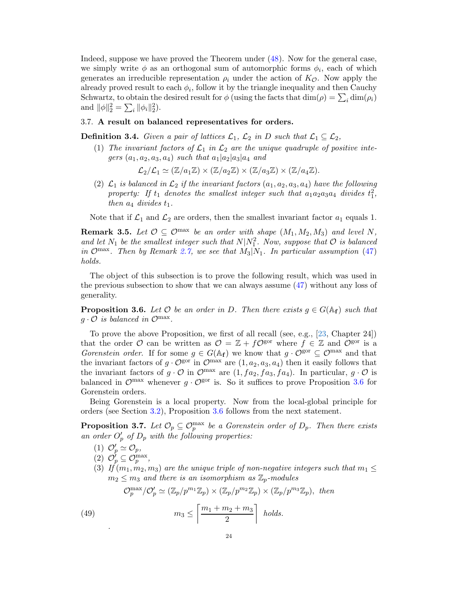Indeed, suppose we have proved the Theorem under [\(48\)](#page-22-1). Now for the general case, we simply write  $\phi$  as an orthogonal sum of automorphic forms  $\phi_i$ , each of which generates an irreducible representation  $\rho_i$  under the action of  $K_{\mathcal{O}}$ . Now apply the already proved result to each  $\phi_i$ , follow it by the triangle inequality and then Cauchy Schwartz, to obtain the desired result for  $\phi$  (using the facts that  $\dim(\rho) = \sum_i \dim(\rho_i)$ and  $\|\phi\|_2^2 = \sum_i \|\phi_i\|_2^2$ .

## <span id="page-23-0"></span>3.7. A result on balanced representatives for orders.

**Definition 3.4.** Given a pair of lattices  $\mathcal{L}_1$ ,  $\mathcal{L}_2$  in D such that  $\mathcal{L}_1 \subseteq \mathcal{L}_2$ ,

(1) The invariant factors of  $\mathcal{L}_1$  in  $\mathcal{L}_2$  are the unique quadruple of positive integers  $(a_1, a_2, a_3, a_4)$  such that  $a_1|a_2|a_3|a_4$  and

 $\mathcal{L}_2/\mathcal{L}_1 \simeq (\mathbb{Z}/a_1\mathbb{Z}) \times (\mathbb{Z}/a_2\mathbb{Z}) \times (\mathbb{Z}/a_3\mathbb{Z}) \times (\mathbb{Z}/a_4\mathbb{Z}).$ 

(2)  $\mathcal{L}_1$  is balanced in  $\mathcal{L}_2$  if the invariant factors  $(a_1, a_2, a_3, a_4)$  have the following property: If  $t_1$  denotes the smallest integer such that  $a_1a_2a_3a_4$  divides  $t_1^2$ , then  $a_4$  divides  $t_1$ .

Note that if  $\mathcal{L}_1$  and  $\mathcal{L}_2$  are orders, then the smallest invariant factor  $a_1$  equals 1.

**Remark 3.5.** Let  $\mathcal{O} \subseteq \mathcal{O}^{\text{max}}$  be an order with shape  $(M_1, M_2, M_3)$  and level N, and let  $N_1$  be the smallest integer such that  $N|N_1^2$ . Now, suppose that  $\mathcal O$  is balanced in Omax. Then by Remark [2.7,](#page-11-4) we see that  $M_3|N_1$ . In particular assumption [\(47\)](#page-22-2) holds.

The object of this subsection is to prove the following result, which was used in the previous subsection to show that we can always assume [\(47\)](#page-22-2) without any loss of generality.

<span id="page-23-1"></span>**Proposition 3.6.** Let  $\mathcal O$  be an order in D. Then there exists  $q \in G(A_f)$  such that  $g \cdot \mathcal{O}$  is balanced in  $\mathcal{O}^{\max}$ .

To prove the above Proposition, we first of all recall (see, e.g., [\[23,](#page-29-9) Chapter 24]) that the order O can be written as  $\mathcal{O} = \mathbb{Z} + f\mathcal{O}^{\text{gor}}$  where  $f \in \mathbb{Z}$  and  $\mathcal{O}^{\text{gor}}$  is a Gorenstein order. If for some  $g \in G(\mathbb{A}_{f})$  we know that  $g \cdot \mathcal{O}^{\text{gor}} \subseteq \mathcal{O}^{\text{max}}$  and that the invariant factors of  $g \cdot \mathcal{O}^{\text{gor}}$  in  $\mathcal{O}^{\text{max}}$  are  $(1, a_2, a_3, a_4)$  then it easily follows that the invariant factors of  $g \cdot \mathcal{O}$  in  $\mathcal{O}^{\max}$  are  $(1, fa_2, fa_3, fa_4)$ . In particular,  $g \cdot \mathcal{O}$  is balanced in  $\mathcal{O}^{\text{max}}$  whenever  $g \cdot \mathcal{O}^{\text{gor}}$  is. So it suffices to prove Proposition [3.6](#page-23-1) for Gorenstein orders.

Being Gorenstein is a local property. Now from the local-global principle for orders (see Section [3.2\)](#page-17-2), Proposition [3.6](#page-23-1) follows from the next statement.

<span id="page-23-2"></span>**Proposition 3.7.** Let  $\mathcal{O}_p \subseteq \mathcal{O}_p^{\max}$  be a Gorenstein order of  $D_p$ . Then there exists an order  $O'_p$  of  $D_p$  with the following properties:

- (1)  $\mathcal{O}'_p \simeq \mathcal{O}_p$ ,
- (2)  $\mathcal{O}_p' \subseteq \mathcal{O}_p^{\max}$ ,
- (3) If  $(m_1, m_2, m_3)$  are the unique triple of non-negative integers such that  $m_1 \leq$  $m_2 \leq m_3$  and there is an isomorphism as  $\mathbb{Z}_p$ -modules

<span id="page-23-3"></span>
$$
\mathcal{O}_p^{\max}/\mathcal{O}'_p \simeq (\mathbb{Z}_p/p^{m_1}\mathbb{Z}_p) \times (\mathbb{Z}_p/p^{m_2}\mathbb{Z}_p) \times (\mathbb{Z}_p/p^{m_3}\mathbb{Z}_p), \text{ then}
$$

(49) 
$$
m_3 \le \left\lceil \frac{m_1 + m_2 + m_3}{2} \right\rceil \text{ holds.}
$$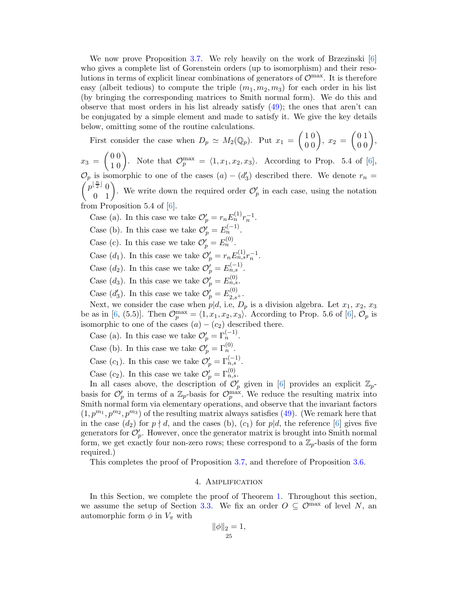We now prove Proposition [3.7.](#page-23-2) We rely heavily on the work of Brzezinski [\[6\]](#page-28-10) who gives a complete list of Gorenstein orders (up to isomorphism) and their resolutions in terms of explicit linear combinations of generators of  $\mathcal{O}^{\max}$ . It is therefore easy (albeit tedious) to compute the triple  $(m_1, m_2, m_3)$  for each order in his list (by bringing the corresponding matrices to Smith normal form). We do this and observe that most orders in his list already satisfy [\(49\)](#page-23-3); the ones that aren't can be conjugated by a simple element and made to satisfy it. We give the key details below, omitting some of the routine calculations.

First consider the case when  $D_p \simeq M_2(\mathbb{Q}_p)$ . Put  $x_1 = \begin{pmatrix} 1 & 0 \\ 0 & 0 \end{pmatrix}$ ,  $x_2 = \begin{pmatrix} 0 & 1 \\ 0 & 0 \end{pmatrix}$ ,

 $x_3 = \begin{pmatrix} 0 & 0 \\ 1 & 0 \end{pmatrix}$ . Note that  $\mathcal{O}_p^{\max} = \langle 1, x_1, x_2, x_3 \rangle$ . According to Prop. 5.4 of [\[6\]](#page-28-10),  $\mathcal{O}_p$  is isomorphic to one of the cases  $(a) - (d'_3)$  described there. We denote  $r_n =$  $\begin{pmatrix} p^{\lfloor \frac{n}{2} \rfloor} & 0 \\ 0 & 1 \end{pmatrix}$ . We write down the required order  $\mathcal{O}'_p$  in each case, using the notation from Proposition 5.4 of [\[6\]](#page-28-10).

Case (a). In this case we take  $\mathcal{O}'_p = r_n E_n^{(1)} r_n^{-1}$ .

Case (b). In this case we take  $\mathcal{O}'_p = E_n^{(-1)}$ .

- Case (c). In this case we take  $\mathcal{O}'_p = E_n^{(0)}$ .
- Case  $(d_1)$ . In this case we take  $\mathcal{O}'_p = r_n E_{n,s}^{(1)} r_n^{-1}$ .
- Case  $(d_2)$ . In this case we take  $\mathcal{O}'_p = E_{n,s}^{(-1)}$ .
- Case (d<sub>3</sub>). In this case we take  $\mathcal{O}'_p = E_{n,s}^{(0)}$ .
- Case  $(d'_3)$ . In this case we take  $\mathcal{O}'_p = E_{2,s+}^{(0)}$ .

Next, we consider the case when  $p|d$ , i.e,  $D_p$  is a division algebra. Let  $x_1, x_2, x_3$ be as in [\[6,](#page-28-10) (5.5)]. Then  $\mathcal{O}_p^{\max} = \langle 1, x_1, x_2, x_3 \rangle$ . According to Prop. 5.6 of [\[6\]](#page-28-10),  $\mathcal{O}_p$  is isomorphic to one of the cases  $(a) - (c_2)$  described there.

- Case (a). In this case we take  $\mathcal{O}'_p = \Gamma_n^{(-1)}$ .
- Case (b). In this case we take  $\mathcal{O}'_p = \Gamma_n^{(0)}$ .
- Case  $(c_1)$ . In this case we take  $\mathcal{O}'_p = \Gamma_{n,s}^{(-1)}$ .
- Case  $(c_2)$ . In this case we take  $\mathcal{O}'_p = \Gamma_{n,s}^{(0)}$ .

In all cases above, the description of  $\mathcal{O}'_p$  given in [\[6\]](#page-28-10) provides an explicit  $\mathbb{Z}_p$ basis for  $\mathcal{O}'_p$  in terms of a  $\mathbb{Z}_p$ -basis for  $\mathcal{O}_p^{\max}$ . We reduce the resulting matrix into Smith normal form via elementary operations, and observe that the invariant factors  $(1, p^{m_1}, p^{m_2}, p^{m_3})$  of the resulting matrix always satisfies [\(49\)](#page-23-3). (We remark here that in the case  $(d_2)$  for  $p \nmid d$ , and the cases (b),  $(c_1)$  for  $p|d$ , the reference [\[6\]](#page-28-10) gives five generators for  $\mathcal{O}'_p$ . However, once the generator matrix is brought into Smith normal form, we get exactly four non-zero rows; these correspond to a  $\mathbb{Z}_p$ -basis of the form required.)

<span id="page-24-0"></span>This completes the proof of Proposition [3.7,](#page-23-2) and therefore of Proposition [3.6.](#page-23-1)

## 4. Amplification

In this Section, we complete the proof of Theorem [1.](#page-18-1) Throughout this section, we assume the setup of Section [3.3.](#page-18-5) We fix an order  $O \subseteq \mathcal{O}^{\max}$  of level N, an automorphic form  $\phi$  in  $V_{\pi}$  with

$$
\|\phi\|_2 = 1,
$$
  

$$
25
$$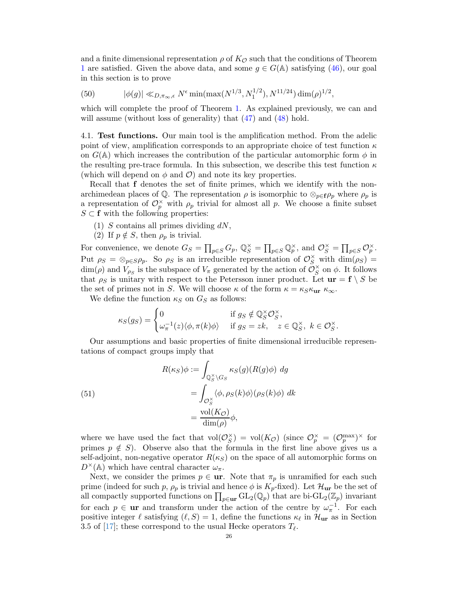and a finite dimensional representation  $\rho$  of  $K_{\mathcal{O}}$  such that the conditions of Theorem [1](#page-18-1) are satisfied. Given the above data, and some  $g \in G(\mathbb{A})$  satisfying [\(46\)](#page-22-3), our goal in this section is to prove

<span id="page-25-1"></span>(50) 
$$
|\phi(g)| \ll_{D,\pi_{\infty},\epsilon} N^{\epsilon} \min(\max(N^{1/3}, N_1^{1/2}), N^{11/24}) \dim(\rho)^{1/2},
$$

which will complete the proof of Theorem [1.](#page-18-1) As explained previously, we can and will assume (without loss of generality) that  $(47)$  and  $(48)$  hold.

4.1. Test functions. Our main tool is the amplification method. From the adelic point of view, amplification corresponds to an appropriate choice of test function  $\kappa$ on  $G(\mathbb{A})$  which increases the contribution of the particular automorphic form  $\phi$  in the resulting pre-trace formula. In this subsection, we describe this test function  $\kappa$ (which will depend on  $\phi$  and  $\mathcal{O}$ ) and note its key properties.

Recall that f denotes the set of finite primes, which we identify with the nonarchimedean places of Q. The representation  $\rho$  is isomorphic to  $\otimes_{p\in f}\rho_p$  where  $\rho_p$  is a representation of  $\mathcal{O}_p^{\times}$  with  $\rho_p$  trivial for almost all p. We choose a finite subset  $S \subset \mathbf{f}$  with the following properties:

- (1) S contains all primes dividing  $dN$ ,
- (2) If  $p \notin S$ , then  $\rho_p$  is trivial.

For convenience, we denote  $G_S = \prod_{p \in S} G_p$ ,  $\mathbb{Q}_S^{\times} = \prod_{p \in S} \mathbb{Q}_p^{\times}$ , and  $\mathcal{O}_S^{\times} = \prod_{p \in S} \mathcal{O}_p^{\times}$ . Put  $\rho_S = \otimes_{p \in S} \rho_p$ . So  $\rho_S$  is an irreducible representation of  $\mathcal{O}_S^{\times}$  with  $\dim(\rho_S) =$  $\dim(\rho)$  and  $V_{\rho_S}$  is the subspace of  $V_{\pi}$  generated by the action of  $\mathcal{O}_S^{\times}$  on  $\phi$ . It follows that  $\rho_S$  is unitary with respect to the Petersson inner product. Let  $\mathbf{ur} = \mathbf{f} \setminus S$  be the set of primes not in S. We will choose  $\kappa$  of the form  $\kappa = \kappa_S \kappa_{\text{ur}} \kappa_{\infty}$ .

We define the function  $\kappa_S$  on  $G_S$  as follows:

$$
\kappa_S(g_S) = \begin{cases} 0 & \text{if } g_S \notin \mathbb{Q}_S^\times \mathcal{O}_S^\times, \\ \omega_\pi^{-1}(z) \langle \phi, \pi(k)\phi \rangle & \text{if } g_S = zk, \quad z \in \mathbb{Q}_S^\times, \ k \in \mathcal{O}_S^\times. \end{cases}
$$

Our assumptions and basic properties of finite dimensional irreducible representations of compact groups imply that

<span id="page-25-0"></span>(51)  

$$
R(\kappa_S)\phi := \int_{\mathbb{Q}_S^\times \backslash G_S} \kappa_S(g)(R(g)\phi) \, dg
$$

$$
= \int_{\mathcal{O}_S^\times} \langle \phi, \rho_S(k)\phi \rangle (\rho_S(k)\phi) \, dk
$$

$$
= \frac{\text{vol}(K_{\mathcal{O}})}{\text{dim}(\rho)} \phi,
$$

where we have used the fact that  $vol(\mathcal{O}_S^{\times}) = vol(K_{\mathcal{O}})$  (since  $\mathcal{O}_p^{\times} = (\mathcal{O}_p^{\max})^{\times}$  for primes  $p \notin S$ ). Observe also that the formula in the first line above gives us a self-adjoint, non-negative operator  $R(\kappa<sub>S</sub>)$  on the space of all automorphic forms on  $D^{\times}(\mathbb{A})$  which have central character  $\omega_{\pi}$ .

Next, we consider the primes  $p \in \mathbf{ur}$ . Note that  $\pi_p$  is unramified for each such prime (indeed for such p,  $\rho_p$  is trivial and hence  $\phi$  is  $K_p$ -fixed). Let  $\mathcal{H}_{\text{ur}}$  be the set of all compactly supported functions on  $\prod_{p\in\mathbf{ur}} GL_2(\mathbb{Q}_p)$  that are bi- $GL_2(\mathbb{Z}_p)$  invariant for each  $p \in \mathbf{ur}$  and transform under the action of the centre by  $\omega_{\pi}^{-1}$ . For each positive integer  $\ell$  satisfying  $(\ell, S) = 1$ , define the functions  $\kappa_{\ell}$  in  $\mathcal{H}_{ur}$  as in Section 3.5 of [\[17\]](#page-29-4); these correspond to the usual Hecke operators  $T_{\ell}$ .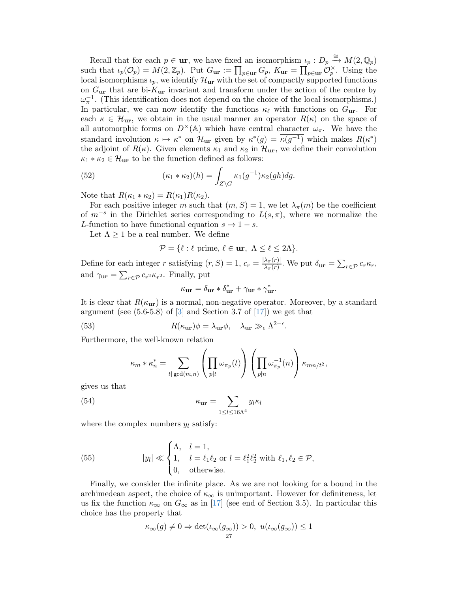Recall that for each  $p \in \mathbf{ur}$ , we have fixed an isomorphism  $\iota_p : D_p \xrightarrow{\cong} M(2, \mathbb{Q}_p)$ such that  $\iota_p(\mathcal{O}_p) = M(2,\mathbb{Z}_p)$ . Put  $G_{\text{ur}} := \prod_{p \in \text{ur}} G_p$ ,  $K_{\text{ur}} = \prod_{p \in \text{ur}} \mathcal{O}_p^{\times}$ . Using the local isomorphisms  $\iota_p$ , we identify  $\mathcal{H}_{\text{ur}}$  with the set of compactly supported functions on  $G_{\text{ur}}$  that are bi- $K_{\text{ur}}$  invariant and transform under the action of the centre by  $\omega_{\pi}^{-1}$ . (This identification does not depend on the choice of the local isomorphisms.) In particular, we can now identify the functions  $\kappa_{\ell}$  with functions on  $G_{\text{ur}}$ . For each  $\kappa \in \mathcal{H}_{ur}$ , we obtain in the usual manner an operator  $R(\kappa)$  on the space of all automorphic forms on  $D^{\times}(\mathbb{A})$  which have central character  $\omega_{\pi}$ . We have the standard involution  $\kappa \mapsto \kappa^*$  on  $\mathcal{H}_{\text{ur}}$  given by  $\kappa^*(g) = \kappa(g^{-1})$  which makes  $R(\kappa^*)$ the adjoint of  $R(\kappa)$ . Given elements  $\kappa_1$  and  $\kappa_2$  in  $\mathcal{H}_{ur}$ , we define their convolution  $\kappa_1 * \kappa_2 \in \mathcal{H}_{\text{ur}}$  to be the function defined as follows:

(52) 
$$
(\kappa_1 * \kappa_2)(h) = \int_{Z \backslash G} \kappa_1(g^{-1}) \kappa_2(gh) dg.
$$

Note that  $R(\kappa_1 * \kappa_2) = R(\kappa_1)R(\kappa_2)$ .

For each positive integer m such that  $(m, S) = 1$ , we let  $\lambda_{\pi}(m)$  be the coefficient of  $m^{-s}$  in the Dirichlet series corresponding to  $L(s, \pi)$ , where we normalize the L-function to have functional equation  $s \mapsto 1 - s$ .

Let  $\Lambda \geq 1$  be a real number. We define

$$
\mathcal{P} = \{ \ell : \ell \text{ prime}, \ell \in \mathbf{ur}, \ \Lambda \le \ell \le 2\Lambda \}.
$$

Define for each integer r satisfying  $(r, S) = 1$ ,  $c_r = \frac{|\lambda_\pi(r)|}{\lambda_\pi(r)}$ . We put  $\delta_{\mathbf{u}\mathbf{r}} = \sum_{r \in \mathcal{P}} c_r \kappa_r$ , and  $\gamma_{\mathbf{ur}} = \sum_{r \in \mathcal{P}} c_{r^2} \kappa_{r^2}$ . Finally, put

<span id="page-26-0"></span>
$$
\kappa_{\mathbf{ur}} = \delta_{\mathbf{ur}} * \delta_{\mathbf{ur}}^* + \gamma_{\mathbf{ur}} * \gamma_{\mathbf{ur}}^*.
$$

It is clear that  $R(\kappa_{\text{ur}})$  is a normal, non-negative operator. Moreover, by a standard argument (see  $(5.6-5.8)$  of  $[3]$  and Section 3.7 of  $[17]$ ) we get that

(53) 
$$
R(\kappa_{\mathbf{u}\mathbf{r}})\phi = \lambda_{\mathbf{u}\mathbf{r}}\phi, \quad \lambda_{\mathbf{u}\mathbf{r}} \gg_{\epsilon} \Lambda^{2-\epsilon}.
$$

Furthermore, the well-known relation

<span id="page-26-1"></span>
$$
\kappa_m * \kappa_n^* = \sum_{t | \gcd(m,n)} \left( \prod_{p | t} \omega_{\pi_p}(t) \right) \left( \prod_{p | n} \omega_{\pi_p}^{-1}(n) \right) \kappa_{mn/t^2},
$$

gives us that

(54) 
$$
\kappa_{\mathbf{u}\mathbf{r}} = \sum_{1 \leq l \leq 16\Lambda^4} y_l \kappa_l
$$

where the complex numbers  $y_l$  satisfy:

<span id="page-26-2"></span>(55) 
$$
|y_l| \ll \begin{cases} \Lambda, & l = 1, \\ 1, & l = \ell_1 \ell_2 \text{ or } l = \ell_1^2 \ell_2^2 \text{ with } \ell_1, \ell_2 \in \mathcal{P}, \\ 0, & \text{otherwise.} \end{cases}
$$

Finally, we consider the infinite place. As we are not looking for a bound in the archimedean aspect, the choice of  $\kappa_{\infty}$  is unimportant. However for definiteness, let us fix the function  $\kappa_{\infty}$  on  $G_{\infty}$  as in [\[17\]](#page-29-4) (see end of Section 3.5). In particular this choice has the property that

$$
\kappa_{\infty}(g) \neq 0 \Rightarrow \det(\iota_{\infty}(g_{\infty})) > 0, \ u(\iota_{\infty}(g_{\infty})) \leq 1
$$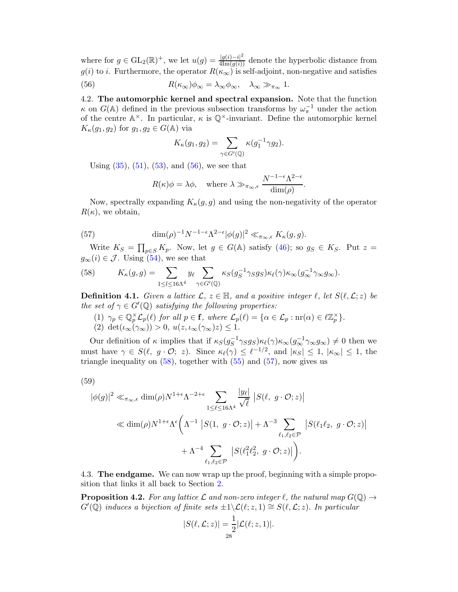where for  $g \in GL_2(\mathbb{R})^+$ , we let  $u(g) = \frac{|g(i) - i|^2}{4 \text{Im}(g(i))}$  denote the hyperbolic distance from  $g(i)$  to i. Furthermore, the operator  $R(\kappa_{\infty})$  is self-adjoint, non-negative and satisfies

(56) 
$$
R(\kappa_{\infty})\phi_{\infty} = \lambda_{\infty}\phi_{\infty}, \quad \lambda_{\infty} \gg_{\pi_{\infty}} 1.
$$

4.2. The automorphic kernel and spectral expansion. Note that the function  $\kappa$  on  $G(\mathbb{A})$  defined in the previous subsection transforms by  $\omega_{\pi}^{-1}$  under the action of the centre  $\mathbb{A}^{\times}$ . In particular,  $\kappa$  is  $\mathbb{Q}^{\times}$ -invariant. Define the automorphic kernel  $K_{\kappa}(g_1, g_2)$  for  $g_1, g_2 \in G(\mathbb{A})$  via

<span id="page-27-0"></span>
$$
K_{\kappa}(g_1,g_2)=\sum_{\gamma\in G'(\mathbb{Q})}\kappa(g_1^{-1}\gamma g_2).
$$

Using  $(35)$ ,  $(51)$ ,  $(53)$ , and  $(56)$ , we see that

<span id="page-27-2"></span>
$$
R(\kappa)\phi = \lambda\phi, \quad \text{where } \lambda \gg_{\pi_{\infty},\epsilon} \frac{N^{-1-\epsilon}\Lambda^{2-\epsilon}}{\dim(\rho)}.
$$

Now, spectrally expanding  $K_{\kappa}(g, g)$  and using the non-negativity of the operator  $R(\kappa)$ , we obtain,

(57) 
$$
\dim(\rho)^{-1} N^{-1-\epsilon} \Lambda^{2-\epsilon} |\phi(g)|^2 \ll_{\pi_{\infty,\epsilon}} K_{\kappa}(g,g).
$$

Write  $K_S = \prod_{p \in S} K_p$ . Now, let  $g \in G(\mathbb{A})$  satisfy  $(46)$ ; so  $g_S \in K_S$ . Put  $z =$  $g_{\infty}(i) \in \mathcal{J}$ . Using [\(54\)](#page-26-1), we see that

<span id="page-27-1"></span>(58) 
$$
K_{\kappa}(g,g) = \sum_{1 \leq l \leq 16\Lambda^4} y_{\ell} \sum_{\gamma \in G'(\mathbb{Q})} \kappa_S(g_S^{-1} \gamma_S g_S) \kappa_{\ell}(\gamma) \kappa_{\infty}(g_{\infty}^{-1} \gamma_{\infty} g_{\infty}).
$$

<span id="page-27-3"></span>**Definition 4.1.** Given a lattice  $\mathcal{L}, z \in \mathbb{H}$ , and a positive integer  $\ell$ , let  $S(\ell, \mathcal{L}; z)$  be the set of  $\gamma \in G'(\mathbb{Q})$  satisfying the following properties:

(1)  $\gamma_p \in \mathbb{Q}_p^{\times} \mathcal{L}_p(\ell)$  for all  $p \in \mathbf{f}$ , where  $\mathcal{L}_p(\ell) = {\alpha \in \mathcal{L}_p : \text{nr}(\alpha) \in \ell \mathbb{Z}_p^{\times} }$ . (2) det $(\iota_{\infty}(\gamma_{\infty})) > 0$ ,  $u(z, \iota_{\infty}(\gamma_{\infty})z) \leq 1$ .

Our definition of  $\kappa$  implies that if  $\kappa_S(g_S^{-1}\gamma_S g_S)\kappa_\ell(\gamma)\kappa_\infty(g_\infty^{-1}\gamma_\infty g_\infty) \neq 0$  then we must have  $\gamma \in S(\ell, g \cdot \mathcal{O}; z)$ . Since  $\kappa_{\ell}(\gamma) \leq {\ell}^{-1/2}$ , and  $|\kappa_S| \leq 1$ ,  $|\kappa_{\infty}| \leq 1$ , the triangle inequality on  $(58)$ , together with  $(55)$  and  $(57)$ , now gives us

$$
(59)
$$

<span id="page-27-4"></span>
$$
|\phi(g)|^2 \ll_{\pi_{\infty},\epsilon} \dim(\rho) N^{1+\epsilon} \Lambda^{-2+\epsilon} \sum_{1 \leq \ell \leq 16\Lambda^4} \frac{|y_{\ell}|}{\sqrt{\ell}} |S(\ell, g \cdot \mathcal{O}; z)|
$$
  

$$
\ll \dim(\rho) N^{1+\epsilon} \Lambda^{\epsilon} \left( \Lambda^{-1} |S(1, g \cdot \mathcal{O}; z)| + \Lambda^{-3} \sum_{\ell_1, \ell_2 \in \mathcal{P}} |S(\ell_1 \ell_2, g \cdot \mathcal{O}; z)| + \Lambda^{-4} \sum_{\ell_1, \ell_2 \in \mathcal{P}} |S(\ell_1^2 \ell_2^2, g \cdot \mathcal{O}; z)| \right).
$$

4.3. The endgame. We can now wrap up the proof, beginning with a simple proposition that links it all back to Section [2.](#page-8-3)

**Proposition 4.2.** For any lattice L and non-zero integer  $\ell$ , the natural map  $G(\mathbb{Q}) \rightarrow$  $G'(\mathbb{Q})$  induces a bijection of finite sets  $\pm 1 \setminus \mathcal{L}(\ell; z, 1) \cong S(\ell, \mathcal{L}; z)$ . In particular

$$
|S(\ell, \mathcal{L}; z)| = \frac{1}{2} |\mathcal{L}(\ell; z, 1)|.
$$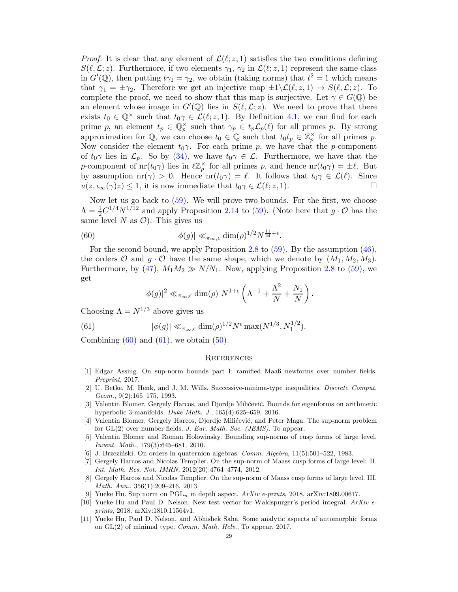*Proof.* It is clear that any element of  $\mathcal{L}(\ell; z, 1)$  satisfies the two conditions defining  $S(\ell,\mathcal{L};z)$ . Furthermore, if two elements  $\gamma_1, \gamma_2$  in  $\mathcal{L}(\ell; z, 1)$  represent the same class in  $G'(\mathbb{Q})$ , then putting  $t\gamma_1 = \gamma_2$ , we obtain (taking norms) that  $t^2 = 1$  which means that  $\gamma_1 = \pm \gamma_2$ . Therefore we get an injective map  $\pm 1 \setminus \mathcal{L}(\ell; z, 1) \to S(\ell, \mathcal{L}; z)$ . To complete the proof, we need to show that this map is surjective. Let  $\gamma \in G(\mathbb{Q})$  be an element whose image in  $G'(\mathbb{Q})$  lies in  $S(\ell,\mathcal{L};z)$ . We need to prove that there exists  $t_0 \in \mathbb{Q}^\times$  such that  $t_0 \gamma \in \mathcal{L}(\ell; z, 1)$ . By Definition [4.1,](#page-27-3) we can find for each prime p, an element  $t_p \in \mathbb{Q}_p^{\times}$  such that  $\gamma_p \in t_p \mathcal{L}_p(\ell)$  for all primes p. By strong approximation for  $\mathbb{Q}$ , we can choose  $t_0 \in \mathbb{Q}$  such that  $t_0 t_p \in \mathbb{Z}_p^{\times}$  for all primes p. Now consider the element  $t_0\gamma$ . For each prime p, we have that the p-component of  $t_0\gamma$  lies in  $\mathcal{L}_p$ . So by [\(34\)](#page-17-0), we have  $t_0\gamma \in \mathcal{L}$ . Furthermore, we have that the p-component of  $\text{nr}(t_0\gamma)$  lies in  $\ell\mathbb{Z}_p^{\times}$  for all primes p, and hence  $\text{nr}(t_0\gamma) = \pm \ell$ . But by assumption  $\text{nr}(\gamma) > 0$ . Hence  $\text{nr}(t_0\gamma) = \ell$ . It follows that  $t_0\gamma \in \mathcal{L}(\ell)$ . Since  $u(z, t_0\gamma)z \leq 1$ , it is now immediate that  $t_0\gamma \in \mathcal{L}(\ell; z, 1)$ .  $u(z, \iota_{\infty}(\gamma)z) \leq 1$ , it is now immediate that  $t_0 \gamma \in \mathcal{L}(\ell; z, 1)$ .

Now let us go back to  $(59)$ . We will prove two bounds. For the first, we choose  $\Lambda = \frac{1}{2}C^{1/4}N^{1/12}$  and apply Proposition [2.14](#page-15-0) to [\(59\)](#page-27-4). (Note here that  $g \cdot \mathcal{O}$  has the same level N as  $\mathcal{O}$ ). This gives us

(60) 
$$
|\phi(g)| \ll_{\pi_{\infty,\epsilon}} \dim(\rho)^{1/2} N^{\frac{11}{24}+\epsilon}.
$$

For the second bound, we apply Proposition [2.8](#page-11-0) to [\(59\)](#page-27-4). By the assumption [\(46\)](#page-22-3), the orders O and  $g \cdot O$  have the same shape, which we denote by  $(M_1, M_2, M_3)$ . Furthermore, by [\(47\)](#page-22-2),  $M_1M_2 \gg N/N_1$ . Now, applying Proposition [2.8](#page-11-0) to [\(59\)](#page-27-4), we get

<span id="page-28-12"></span><span id="page-28-11"></span>
$$
|\phi(g)|^2 \ll_{\pi_{\infty}, \epsilon} \dim(\rho) N^{1+\epsilon} \left( \Lambda^{-1} + \frac{\Lambda^2}{N} + \frac{N_1}{N} \right)
$$

.

Choosing  $\Lambda = N^{1/3}$  above gives us

(61) 
$$
|\phi(g)| \ll_{\pi_{\infty}, \epsilon} \dim(\rho)^{1/2} N^{\epsilon} \max(N^{1/3}, N_1^{1/2}).
$$

Combining  $(60)$  and  $(61)$ , we obtain  $(50)$ .

### **REFERENCES**

- <span id="page-28-5"></span>[1] Edgar Assing. On sup-norm bounds part I: ramified Maaß newforms over number fields. *Preprint*, 2017.
- <span id="page-28-8"></span>[2] U. Betke, M. Henk, and J. M. Wills. Successive-minima-type inequalities. *Discrete Comput. Geom.*, 9(2):165–175, 1993.
- <span id="page-28-9"></span>[3] Valentin Blomer, Gergely Harcos, and Djordje Milićević. Bounds for eigenforms on arithmetic hyperbolic 3-manifolds. *Duke Math. J.*, 165(4):625–659, 2016.
- <span id="page-28-4"></span>[4] Valentin Blomer, Gergely Harcos, Djordje Milićević, and Peter Maga. The sup-norm problem for GL(2) over number fields. *J. Eur. Math. Soc. (JEMS)*. To appear.
- <span id="page-28-1"></span>[5] Valentin Blomer and Roman Holowinsky. Bounding sup-norms of cusp forms of large level. *Invent. Math.*, 179(3):645–681, 2010.
- <span id="page-28-10"></span><span id="page-28-2"></span>[6] J. Brzeziński. On orders in quaternion algebras. *Comm. Algebra*, 11(5):501–522, 1983.
- [7] Gergely Harcos and Nicolas Templier. On the sup-norm of Maass cusp forms of large level: II. *Int. Math. Res. Not. IMRN*, 2012(20):4764–4774, 2012.
- <span id="page-28-3"></span>[8] Gergely Harcos and Nicolas Templier. On the sup-norm of Maass cusp forms of large level. III. *Math. Ann.*, 356(1):209–216, 2013.
- <span id="page-28-7"></span><span id="page-28-6"></span>[9] Yueke Hu. Sup norm on  $PGL_n$  in depth aspect.  $ArXiv$  e-prints, 2018. arXiv:1809.00617.
- [10] Yueke Hu and Paul D. Nelson. New test vector for Waldspurger's period integral. *ArXiv eprints*, 2018. arXiv:1810.11564v1.
- <span id="page-28-0"></span>[11] Yueke Hu, Paul D. Nelson, and Abhishek Saha. Some analytic aspects of automorphic forms on GL(2) of minimal type. *Comm. Math. Helv.*, To appear, 2017.